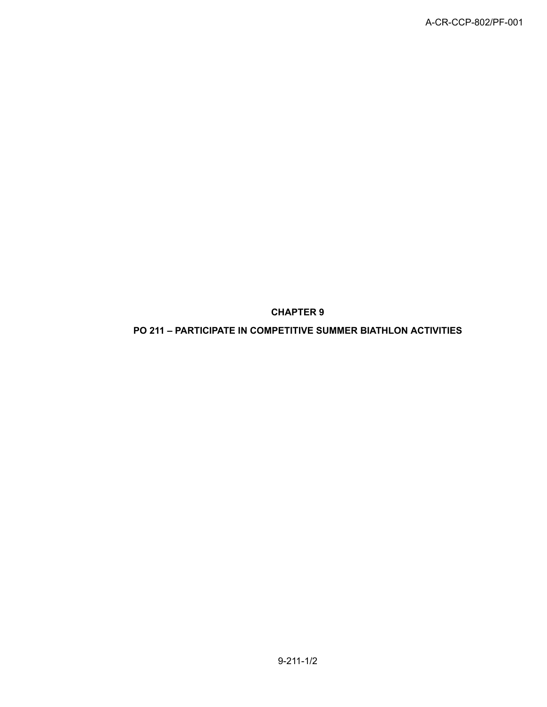**CHAPTER 9**

**PO 211 – PARTICIPATE IN COMPETITIVE SUMMER BIATHLON ACTIVITIES**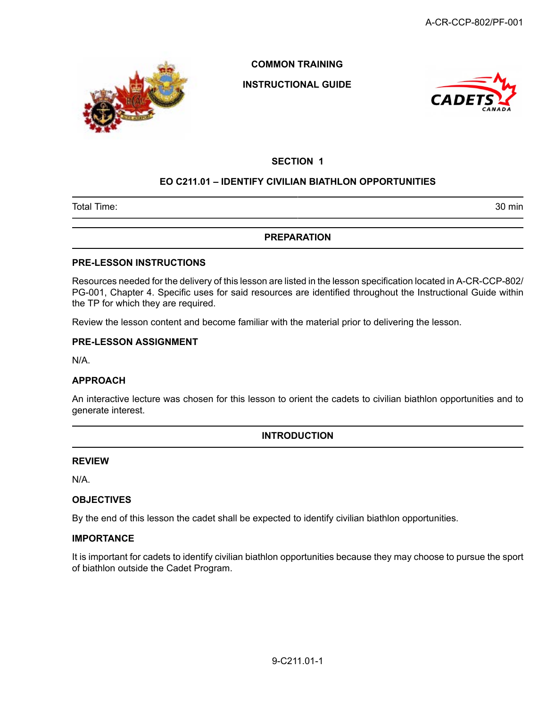![](_page_2_Picture_1.jpeg)

**COMMON TRAINING**

**INSTRUCTIONAL GUIDE**

![](_page_2_Picture_4.jpeg)

# **SECTION 1**

# **EO C211.01 – IDENTIFY CIVILIAN BIATHLON OPPORTUNITIES**

Total Time: 30 min

# **PREPARATION**

#### **PRE-LESSON INSTRUCTIONS**

Resources needed for the delivery of this lesson are listed in the lesson specification located in A-CR-CCP-802/ PG-001, Chapter 4. Specific uses for said resources are identified throughout the Instructional Guide within the TP for which they are required.

Review the lesson content and become familiar with the material prior to delivering the lesson.

#### **PRE-LESSON ASSIGNMENT**

N/A.

#### **APPROACH**

An interactive lecture was chosen for this lesson to orient the cadets to civilian biathlon opportunities and to generate interest.

#### **INTRODUCTION**

#### **REVIEW**

N/A.

#### **OBJECTIVES**

By the end of this lesson the cadet shall be expected to identify civilian biathlon opportunities.

#### **IMPORTANCE**

It is important for cadets to identify civilian biathlon opportunities because they may choose to pursue the sport of biathlon outside the Cadet Program.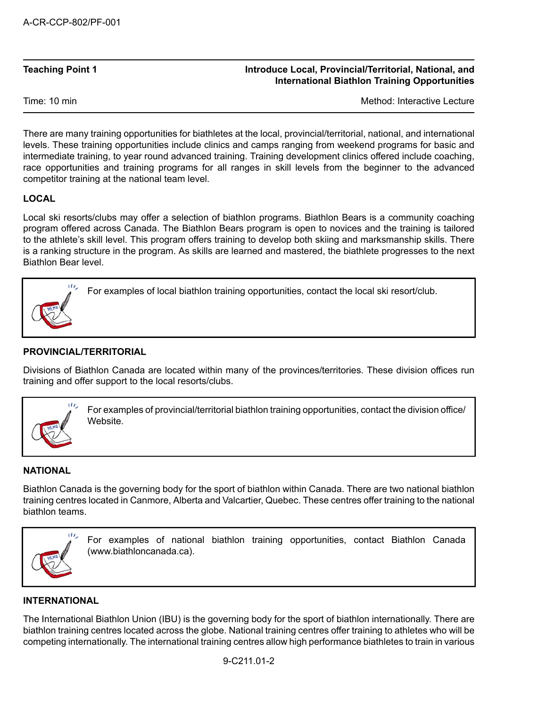| <b>Teaching Point 1</b> |  |
|-------------------------|--|
|-------------------------|--|

# **Teaching Point 1 Introduce Local, Provincial/Territorial, National, and International Biathlon Training Opportunities**

Time: 10 min Method: Interactive Lecture Companies And Method: Interactive Lecture

There are many training opportunities for biathletes at the local, provincial/territorial, national, and international levels. These training opportunities include clinics and camps ranging from weekend programs for basic and intermediate training, to year round advanced training. Training development clinics offered include coaching, race opportunities and training programs for all ranges in skill levels from the beginner to the advanced competitor training at the national team level.

# **LOCAL**

Local ski resorts/clubs may offer a selection of biathlon programs. Biathlon Bears is a community coaching program offered across Canada. The Biathlon Bears program is open to novices and the training is tailored to the athlete's skill level. This program offers training to develop both skiing and marksmanship skills. There is a ranking structure in the program. As skills are learned and mastered, the biathlete progresses to the next Biathlon Bear level.

![](_page_3_Picture_8.jpeg)

For examples of local biathlon training opportunities, contact the local ski resort/club.

# **PROVINCIAL/TERRITORIAL**

Divisions of Biathlon Canada are located within many of the provinces/territories. These division offices run training and offer support to the local resorts/clubs.

![](_page_3_Picture_12.jpeg)

For examples of provincial/territorial biathlon training opportunities, contact the division office/ Website.

# **NATIONAL**

Biathlon Canada is the governing body for the sport of biathlon within Canada. There are two national biathlon training centres located in Canmore, Alberta and Valcartier, Quebec. These centres offer training to the national biathlon teams.

![](_page_3_Picture_16.jpeg)

For examples of national biathlon training opportunities, contact Biathlon Canada (www.biathloncanada.ca).

# **INTERNATIONAL**

The International Biathlon Union (IBU) is the governing body for the sport of biathlon internationally. There are biathlon training centres located across the globe. National training centres offer training to athletes who will be competing internationally. The international training centres allow high performance biathletes to train in various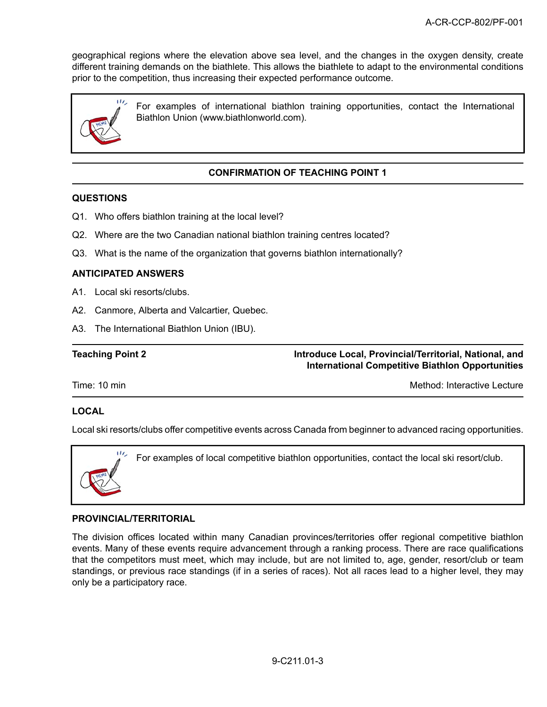geographical regions where the elevation above sea level, and the changes in the oxygen density, create different training demands on the biathlete. This allows the biathlete to adapt to the environmental conditions prior to the competition, thus increasing their expected performance outcome.

![](_page_4_Picture_2.jpeg)

For examples of international biathlon training opportunities, contact the International Biathlon Union (www.biathlonworld.com).

# **CONFIRMATION OF TEACHING POINT 1**

#### **QUESTIONS**

- Q1. Who offers biathlon training at the local level?
- Q2. Where are the two Canadian national biathlon training centres located?
- Q3. What is the name of the organization that governs biathlon internationally?

#### **ANTICIPATED ANSWERS**

- A1. Local ski resorts/clubs.
- A2. Canmore, Alberta and Valcartier, Quebec.
- A3. The International Biathlon Union (IBU).

# **Teaching Point 2 Introduce Local, Provincial/Territorial, National, and International Competitive Biathlon Opportunities**

Time: 10 min Method: Interactive Lecture Communication of the Method: Interactive Lecture

#### **LOCAL**

Local ski resorts/clubs offer competitive events across Canada from beginner to advanced racing opportunities.

![](_page_4_Picture_18.jpeg)

#### **PROVINCIAL/TERRITORIAL**

The division offices located within many Canadian provinces/territories offer regional competitive biathlon events. Many of these events require advancement through a ranking process. There are race qualifications that the competitors must meet, which may include, but are not limited to, age, gender, resort/club or team standings, or previous race standings (if in a series of races). Not all races lead to a higher level, they may only be a participatory race.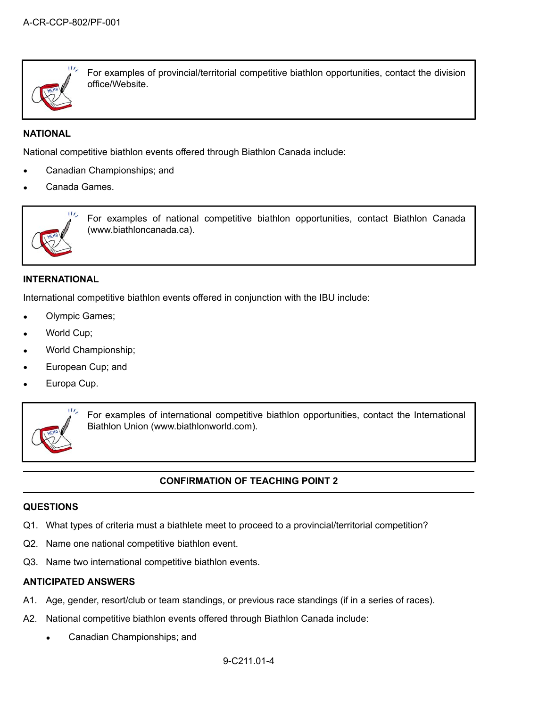![](_page_5_Picture_1.jpeg)

For examples of provincial/territorial competitive biathlon opportunities, contact the division office/Website.

# **NATIONAL**

National competitive biathlon events offered through Biathlon Canada include:

- Canadian Championships; and
- Canada Games.

![](_page_5_Picture_7.jpeg)

For examples of national competitive biathlon opportunities, contact Biathlon Canada (www.biathloncanada.ca).

# **INTERNATIONAL**

International competitive biathlon events offered in conjunction with the IBU include:

- Olympic Games;
- World Cup;
- World Championship;
- European Cup; and
- Europa Cup.

![](_page_5_Picture_16.jpeg)

For examples of international competitive biathlon opportunities, contact the International Biathlon Union (www.biathlonworld.com).

# **CONFIRMATION OF TEACHING POINT 2**

# **QUESTIONS**

- Q1. What types of criteria must a biathlete meet to proceed to a provincial/territorial competition?
- Q2. Name one national competitive biathlon event.
- Q3. Name two international competitive biathlon events.

# **ANTICIPATED ANSWERS**

- A1. Age, gender, resort/club or team standings, or previous race standings (if in a series of races).
- A2. National competitive biathlon events offered through Biathlon Canada include:
	- Canadian Championships; and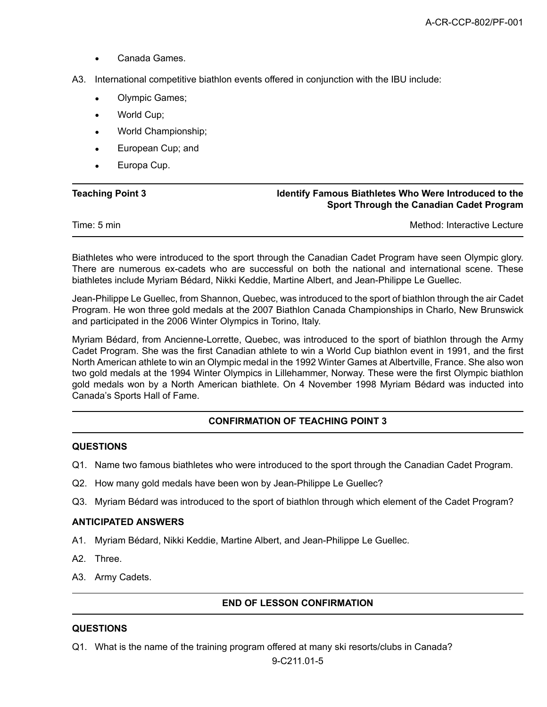• Canada Games.

A3. International competitive biathlon events offered in conjunction with the IBU include:

- Olympic Games;
- World Cup;
- World Championship;
- European Cup; and
- Europa Cup.

| <b>Teaching Point 3</b> | <b>Identify Famous Biathletes Who Were Introduced to the</b><br><b>Sport Through the Canadian Cadet Program</b> |
|-------------------------|-----------------------------------------------------------------------------------------------------------------|
| Time: 5 min             | Method: Interactive Lecture                                                                                     |

Biathletes who were introduced to the sport through the Canadian Cadet Program have seen Olympic glory. There are numerous ex-cadets who are successful on both the national and international scene. These biathletes include Myriam Bédard, Nikki Keddie, Martine Albert, and Jean-Philippe Le Guellec.

Jean-Philippe Le Guellec, from Shannon, Quebec, was introduced to the sport of biathlon through the air Cadet Program. He won three gold medals at the 2007 Biathlon Canada Championships in Charlo, New Brunswick and participated in the 2006 Winter Olympics in Torino, Italy.

Myriam Bédard, from Ancienne-Lorrette, Quebec, was introduced to the sport of biathlon through the Army Cadet Program. She was the first Canadian athlete to win a World Cup biathlon event in 1991, and the first North American athlete to win an Olympic medal in the 1992 Winter Games at Albertville, France. She also won two gold medals at the 1994 Winter Olympics in Lillehammer, Norway. These were the first Olympic biathlon gold medals won by a North American biathlete. On 4 November 1998 Myriam Bédard was inducted into Canada's Sports Hall of Fame.

# **CONFIRMATION OF TEACHING POINT 3**

# **QUESTIONS**

- Q1. Name two famous biathletes who were introduced to the sport through the Canadian Cadet Program.
- Q2. How many gold medals have been won by Jean-Philippe Le Guellec?
- Q3. Myriam Bédard was introduced to the sport of biathlon through which element of the Cadet Program?

#### **ANTICIPATED ANSWERS**

- A1. Myriam Bédard, Nikki Keddie, Martine Albert, and Jean-Philippe Le Guellec.
- A2. Three.
- A3. Army Cadets.

# **END OF LESSON CONFIRMATION**

# **QUESTIONS**

Q1. What is the name of the training program offered at many ski resorts/clubs in Canada?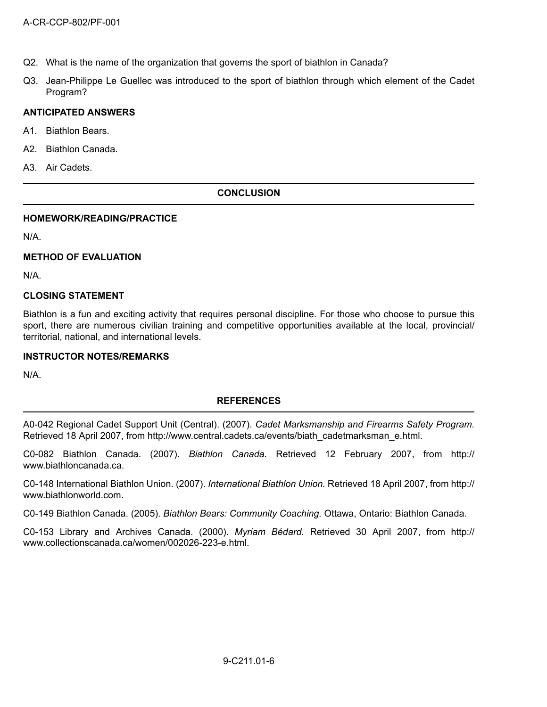- Q2. What is the name of the organization that governs the sport of biathlon in Canada?
- Q3. Jean-Philippe Le Guellec was introduced to the sport of biathlon through which element of the Cadet Program?

# **ANTICIPATED ANSWERS**

- A1. Biathlon Bears.
- A2. Biathlon Canada.
- A3. Air Cadets.

# **CONCLUSION**

# **HOMEWORK/READING/PRACTICE**

N/A.

# **METHOD OF EVALUATION**

N/A.

#### **CLOSING STATEMENT**

Biathlon is a fun and exciting activity that requires personal discipline. For those who choose to pursue this sport, there are numerous civilian training and competitive opportunities available at the local, provincial/ territorial, national, and international levels.

# **INSTRUCTOR NOTES/REMARKS**

N/A.

# **REFERENCES**

A0-042 Regional Cadet Support Unit (Central). (2007). *Cadet Marksmanship and Firearms Safety Program.* Retrieved 18 April 2007, from http://www.central.cadets.ca/events/biath\_cadetmarksman\_e.html.

C0-082 Biathlon Canada. (2007). *Biathlon Canada.* Retrieved 12 February 2007, from http:// www.biathloncanada.ca.

C0-148 International Biathlon Union. (2007). *International Biathlon Union.* Retrieved 18 April 2007, from http:// www.biathlonworld.com.

C0-149 Biathlon Canada. (2005). *Biathlon Bears: Community Coaching.* Ottawa, Ontario: Biathlon Canada.

C0-153 Library and Archives Canada. (2000). *Myriam Bédard.* Retrieved 30 April 2007, from http:// www.collectionscanada.ca/women/002026-223-e.html.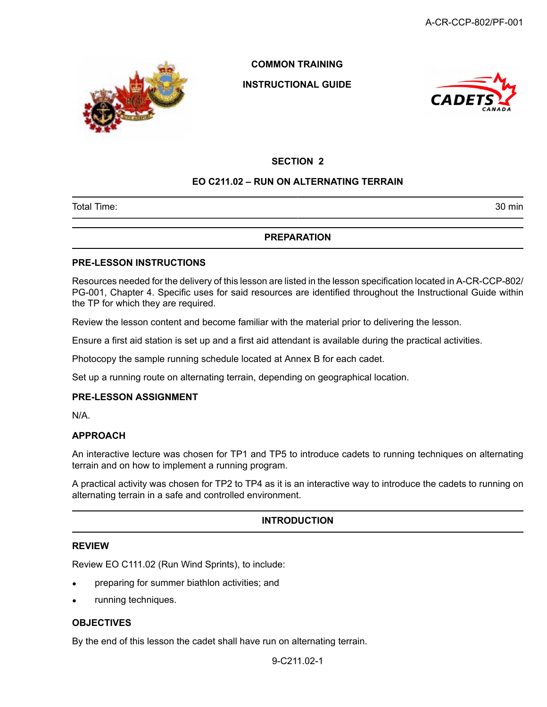![](_page_8_Picture_1.jpeg)

**COMMON TRAINING**

**INSTRUCTIONAL GUIDE**

![](_page_8_Picture_4.jpeg)

# **SECTION 2**

# **EO C211.02 – RUN ON ALTERNATING TERRAIN**

Total Time: 30 min

# **PREPARATION**

#### **PRE-LESSON INSTRUCTIONS**

Resources needed for the delivery of this lesson are listed in the lesson specification located in A-CR-CCP-802/ PG-001, Chapter 4. Specific uses for said resources are identified throughout the Instructional Guide within the TP for which they are required.

Review the lesson content and become familiar with the material prior to delivering the lesson.

Ensure a first aid station is set up and a first aid attendant is available during the practical activities.

Photocopy the sample running schedule located at Annex B for each cadet.

Set up a running route on alternating terrain, depending on geographical location.

#### **PRE-LESSON ASSIGNMENT**

N/A.

#### **APPROACH**

An interactive lecture was chosen for TP1 and TP5 to introduce cadets to running techniques on alternating terrain and on how to implement a running program.

A practical activity was chosen for TP2 to TP4 as it is an interactive way to introduce the cadets to running on alternating terrain in a safe and controlled environment.

# **INTRODUCTION**

# **REVIEW**

Review EO C111.02 (Run Wind Sprints), to include:

- preparing for summer biathlon activities; and
- running techniques.

#### **OBJECTIVES**

By the end of this lesson the cadet shall have run on alternating terrain.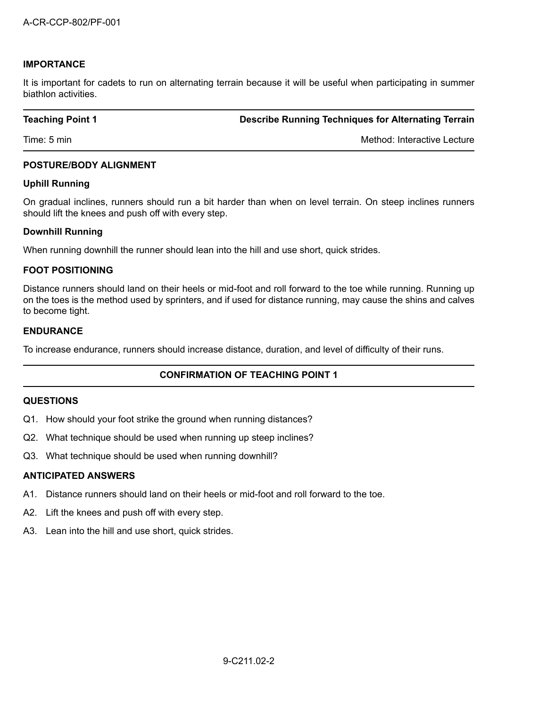# **IMPORTANCE**

It is important for cadets to run on alternating terrain because it will be useful when participating in summer biathlon activities.

**Teaching Point 1 Describe Running Techniques for Alternating Terrain**

Time: 5 min Method: Interactive Lecture

## **POSTURE/BODY ALIGNMENT**

## **Uphill Running**

On gradual inclines, runners should run a bit harder than when on level terrain. On steep inclines runners should lift the knees and push off with every step.

## **Downhill Running**

When running downhill the runner should lean into the hill and use short, quick strides.

## **FOOT POSITIONING**

Distance runners should land on their heels or mid-foot and roll forward to the toe while running. Running up on the toes is the method used by sprinters, and if used for distance running, may cause the shins and calves to become tight.

## **ENDURANCE**

To increase endurance, runners should increase distance, duration, and level of difficulty of their runs.

# **CONFIRMATION OF TEACHING POINT 1**

#### **QUESTIONS**

- Q1. How should your foot strike the ground when running distances?
- Q2. What technique should be used when running up steep inclines?
- Q3. What technique should be used when running downhill?

# **ANTICIPATED ANSWERS**

- A1. Distance runners should land on their heels or mid-foot and roll forward to the toe.
- A2. Lift the knees and push off with every step.
- A3. Lean into the hill and use short, quick strides.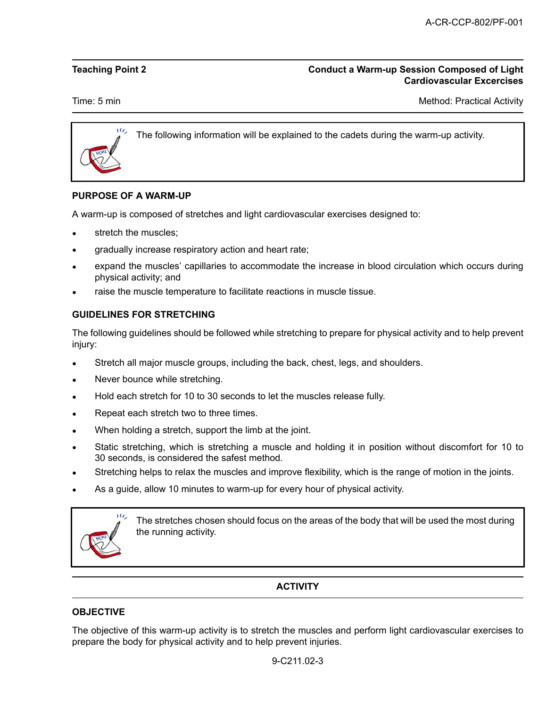# **Teaching Point 2 Conduct a Warm-up Session Composed of Light Cardiovascular Excercises**

Time: 5 min Method: Practical Activity

 $\mathbf{u}_i$ The following information will be explained to the cadets during the warm-up activity.

#### **PURPOSE OF A WARM-UP**

A warm-up is composed of stretches and light cardiovascular exercises designed to:

- stretch the muscles:
- gradually increase respiratory action and heart rate;
- expand the muscles' capillaries to accommodate the increase in blood circulation which occurs during physical activity; and
- raise the muscle temperature to facilitate reactions in muscle tissue.

# **GUIDELINES FOR STRETCHING**

The following guidelines should be followed while stretching to prepare for physical activity and to help prevent injury:

- Stretch all major muscle groups, including the back, chest, legs, and shoulders.
- Never bounce while stretching.
- Hold each stretch for 10 to 30 seconds to let the muscles release fully.
- Repeat each stretch two to three times.
- When holding a stretch, support the limb at the joint.
- Static stretching, which is stretching a muscle and holding it in position without discomfort for 10 to 30 seconds, is considered the safest method.
- Stretching helps to relax the muscles and improve flexibility, which is the range of motion in the joints.
- As a guide, allow 10 minutes to warm-up for every hour of physical activity.

![](_page_10_Picture_22.jpeg)

The stretches chosen should focus on the areas of the body that will be used the most during the running activity.

# **ACTIVITY**

# **OBJECTIVE**

The objective of this warm-up activity is to stretch the muscles and perform light cardiovascular exercises to prepare the body for physical activity and to help prevent injuries.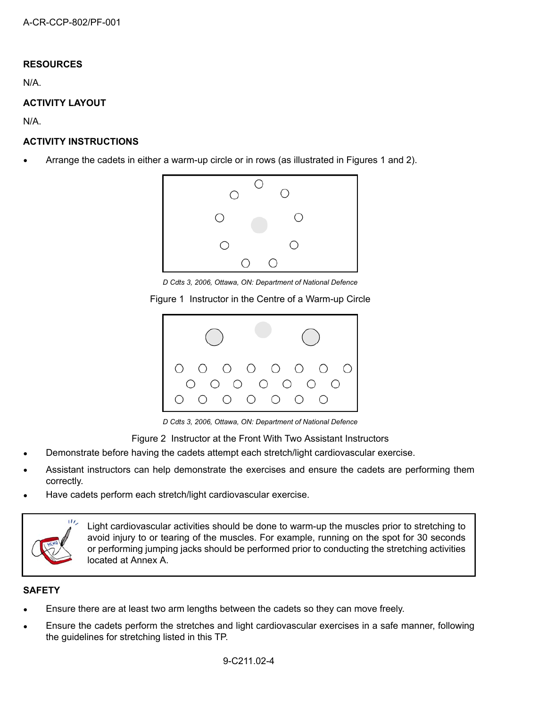# **RESOURCES**

N/A.

# **ACTIVITY LAYOUT**

N/A.

# **ACTIVITY INSTRUCTIONS**

• Arrange the cadets in either a warm-up circle or in rows (as illustrated in Figures 1 and 2).

![](_page_11_Figure_7.jpeg)

*D Cdts 3, 2006, Ottawa, ON: Department of National Defence*

![](_page_11_Figure_9.jpeg)

![](_page_11_Figure_10.jpeg)

*D Cdts 3, 2006, Ottawa, ON: Department of National Defence*

Figure 2 Instructor at the Front With Two Assistant Instructors

- Demonstrate before having the cadets attempt each stretch/light cardiovascular exercise.
- Assistant instructors can help demonstrate the exercises and ensure the cadets are performing them correctly.
- Have cadets perform each stretch/light cardiovascular exercise.

![](_page_11_Picture_16.jpeg)

Light cardiovascular activities should be done to warm-up the muscles prior to stretching to avoid injury to or tearing of the muscles. For example, running on the spot for 30 seconds or performing jumping jacks should be performed prior to conducting the stretching activities located at Annex A.

# **SAFETY**

- Ensure there are at least two arm lengths between the cadets so they can move freely.
- Ensure the cadets perform the stretches and light cardiovascular exercises in a safe manner, following the guidelines for stretching listed in this TP.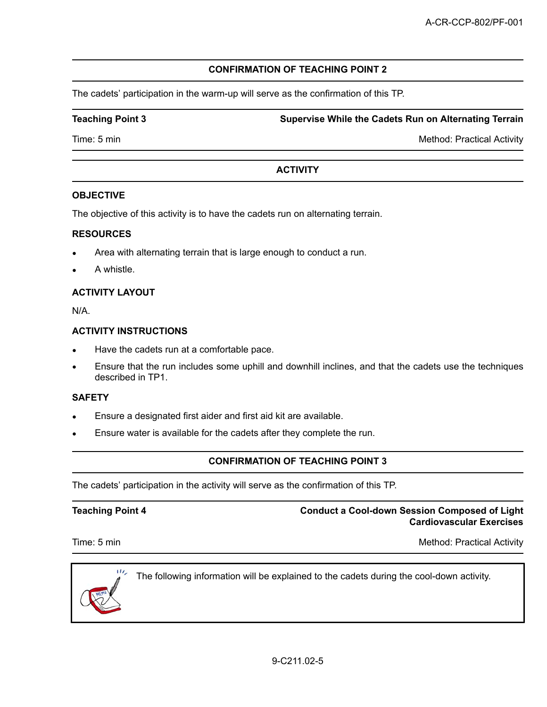# **CONFIRMATION OF TEACHING POINT 2**

The cadets' participation in the warm-up will serve as the confirmation of this TP.

#### **Teaching Point 3 Supervise While the Cadets Run on Alternating Terrain**

Time: 5 min Method: Practical Activity

# **ACTIVITY**

#### **OBJECTIVE**

The objective of this activity is to have the cadets run on alternating terrain.

#### **RESOURCES**

- Area with alternating terrain that is large enough to conduct a run.
- A whistle.

# **ACTIVITY LAYOUT**

N/A.

#### **ACTIVITY INSTRUCTIONS**

- Have the cadets run at a comfortable pace.
- Ensure that the run includes some uphill and downhill inclines, and that the cadets use the techniques described in TP1.

# **SAFETY**

- Ensure a designated first aider and first aid kit are available.
- Ensure water is available for the cadets after they complete the run.

# **CONFIRMATION OF TEACHING POINT 3**

The cadets' participation in the activity will serve as the confirmation of this TP.

# **Teaching Point 4 Conduct a Cool-down Session Composed of Light Cardiovascular Exercises**

Time: 5 min Method: Practical Activity

![](_page_12_Picture_27.jpeg)

The following information will be explained to the cadets during the cool-down activity.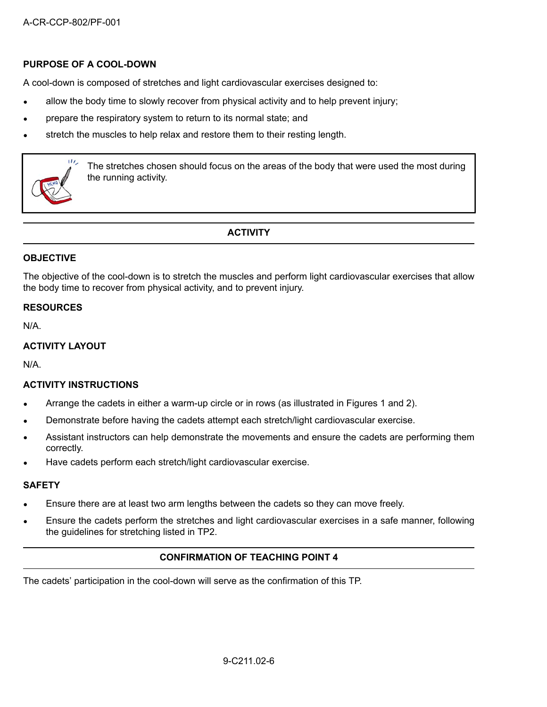# **PURPOSE OF A COOL-DOWN**

A cool-down is composed of stretches and light cardiovascular exercises designed to:

- allow the body time to slowly recover from physical activity and to help prevent injury;
- prepare the respiratory system to return to its normal state; and
- stretch the muscles to help relax and restore them to their resting length.

![](_page_13_Picture_6.jpeg)

The stretches chosen should focus on the areas of the body that were used the most during the running activity.

# **ACTIVITY**

# **OBJECTIVE**

The objective of the cool-down is to stretch the muscles and perform light cardiovascular exercises that allow the body time to recover from physical activity, and to prevent injury.

# **RESOURCES**

N/A.

# **ACTIVITY LAYOUT**

N/A.

# **ACTIVITY INSTRUCTIONS**

- Arrange the cadets in either a warm-up circle or in rows (as illustrated in Figures 1 and 2).
- Demonstrate before having the cadets attempt each stretch/light cardiovascular exercise.
- Assistant instructors can help demonstrate the movements and ensure the cadets are performing them correctly.
- Have cadets perform each stretch/light cardiovascular exercise.

# **SAFETY**

- Ensure there are at least two arm lengths between the cadets so they can move freely.
- Ensure the cadets perform the stretches and light cardiovascular exercises in a safe manner, following the guidelines for stretching listed in TP2.

# **CONFIRMATION OF TEACHING POINT 4**

The cadets' participation in the cool-down will serve as the confirmation of this TP.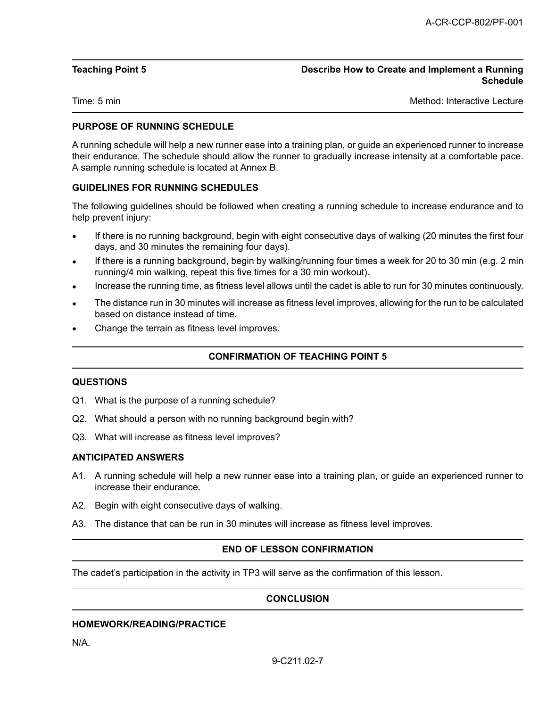#### **Teaching Point 5 Describe How to Create and Implement a Running Schedule**

Time: 5 min Method: Interactive Lecture Control of Time: 5 min Method: Interactive Lecture

#### **PURPOSE OF RUNNING SCHEDULE**

A running schedule will help a new runner ease into a training plan, or guide an experienced runner to increase their endurance. The schedule should allow the runner to gradually increase intensity at a comfortable pace. A sample running schedule is located at Annex B.

#### **GUIDELINES FOR RUNNING SCHEDULES**

The following guidelines should be followed when creating a running schedule to increase endurance and to help prevent injury:

- If there is no running background, begin with eight consecutive days of walking (20 minutes the first four days, and 30 minutes the remaining four days).
- If there is a running background, begin by walking/running four times a week for 20 to 30 min (e.g. 2 min running/4 min walking, repeat this five times for a 30 min workout).
- Increase the running time, as fitness level allows until the cadet is able to run for 30 minutes continuously.
- The distance run in 30 minutes will increase as fitness level improves, allowing for the run to be calculated based on distance instead of time.
- Change the terrain as fitness level improves.

# **CONFIRMATION OF TEACHING POINT 5**

#### **QUESTIONS**

- Q1. What is the purpose of a running schedule?
- Q2. What should a person with no running background begin with?
- Q3. What will increase as fitness level improves?

#### **ANTICIPATED ANSWERS**

- A1. A running schedule will help a new runner ease into a training plan, or guide an experienced runner to increase their endurance.
- A2. Begin with eight consecutive days of walking.
- A3. The distance that can be run in 30 minutes will increase as fitness level improves.

#### **END OF LESSON CONFIRMATION**

The cadet's participation in the activity in TP3 will serve as the confirmation of this lesson.

# **CONCLUSION**

# **HOMEWORK/READING/PRACTICE**

N/A.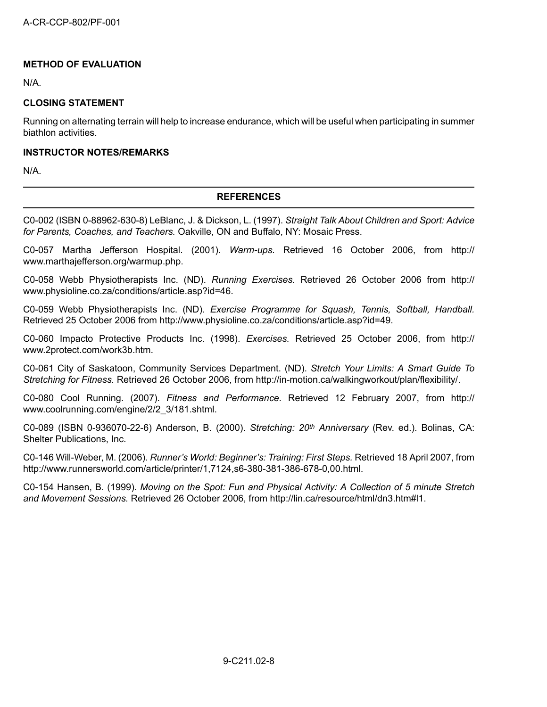# **METHOD OF EVALUATION**

N/A.

# **CLOSING STATEMENT**

Running on alternating terrain will help to increase endurance, which will be useful when participating in summer biathlon activities.

# **INSTRUCTOR NOTES/REMARKS**

N/A.

# **REFERENCES**

C0-002 (ISBN 0-88962-630-8) LeBlanc, J. & Dickson, L. (1997). *Straight Talk About Children and Sport: Advice for Parents, Coaches, and Teachers.* Oakville, ON and Buffalo, NY: Mosaic Press.

C0-057 Martha Jefferson Hospital. (2001). *Warm-ups.* Retrieved 16 October 2006, from http:// www.marthajefferson.org/warmup.php.

C0-058 Webb Physiotherapists Inc. (ND). *Running Exercises.* Retrieved 26 October 2006 from http:// www.physioline.co.za/conditions/article.asp?id=46.

C0-059 Webb Physiotherapists Inc. (ND). *Exercise Programme for Squash, Tennis, Softball, Handball.* Retrieved 25 October 2006 from http://www.physioline.co.za/conditions/article.asp?id=49.

C0-060 Impacto Protective Products Inc. (1998). *Exercises.* Retrieved 25 October 2006, from http:// www.2protect.com/work3b.htm.

C0-061 City of Saskatoon, Community Services Department. (ND). *Stretch Your Limits: A Smart Guide To Stretching for Fitness.* Retrieved 26 October 2006, from http://in-motion.ca/walkingworkout/plan/flexibility/.

C0-080 Cool Running. (2007). *Fitness and Performance.* Retrieved 12 February 2007, from http:// www.coolrunning.com/engine/2/2\_3/181.shtml.

C0-089 (ISBN 0-936070-22-6) Anderson, B. (2000). *Stretching: 20th Anniversary* (Rev. ed.). Bolinas, CA: Shelter Publications, Inc.

C0-146 Will-Weber, M. (2006). *Runner's World: Beginner's: Training: First Steps.* Retrieved 18 April 2007, from http://www.runnersworld.com/article/printer/1,7124,s6-380-381-386-678-0,00.html.

C0-154 Hansen, B. (1999). *Moving on the Spot: Fun and Physical Activity: A Collection of 5 minute Stretch and Movement Sessions.* Retrieved 26 October 2006, from http://lin.ca/resource/html/dn3.htm#l1.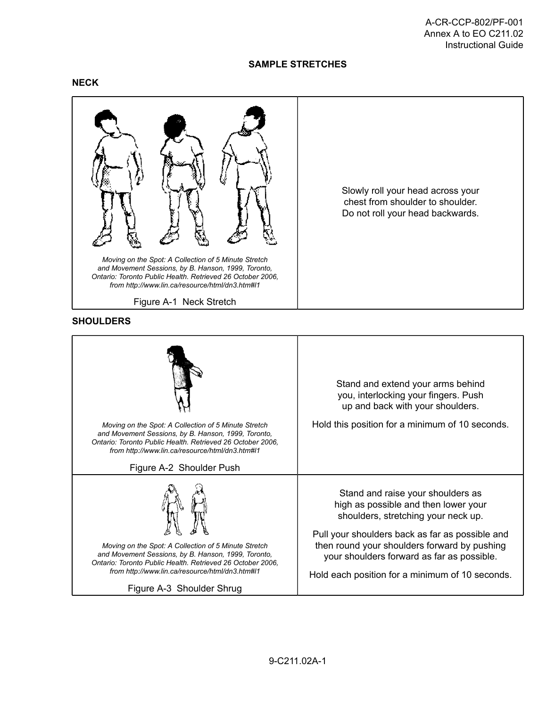#### **SAMPLE STRETCHES**

![](_page_16_Figure_2.jpeg)

![](_page_16_Figure_3.jpeg)

Stand and extend your arms behind you, interlocking your fingers. Push up and back with your shoulders.

Hold this position for a minimum of 10 seconds.

Stand and raise your shoulders as high as possible and then lower your shoulders, stretching your neck up.

Pull your shoulders back as far as possible and then round your shoulders forward by pushing your shoulders forward as far as possible.

Hold each position for a minimum of 10 seconds.

*Moving on the Spot: A Collection of 5 Minute Stretch and Movement Sessions, by B. Hanson, 1999, Toronto, Ontario: Toronto Public Health. Retrieved 26 October 2006, from http://www.lin.ca/resource/html/dn3.htm#l1*

Figure A-2 Shoulder Push

![](_page_16_Picture_12.jpeg)

*Moving on the Spot: A Collection of 5 Minute Stretch and Movement Sessions, by B. Hanson, 1999, Toronto, Ontario: Toronto Public Health. Retrieved 26 October 2006, from http://www.lin.ca/resource/html/dn3.htm#l1*

Figure A-3 Shoulder Shrug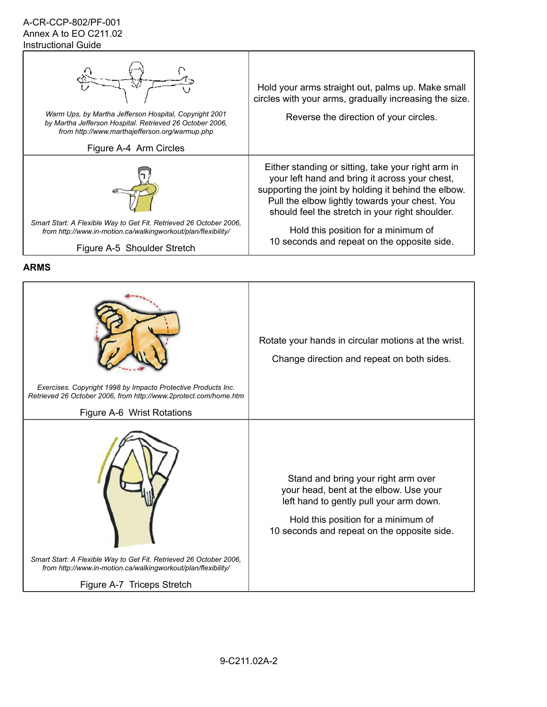| Warm Ups, by Martha Jefferson Hospital, Copyright 2001<br>by Martha Jefferson Hospital. Retrieved 26 October 2006.<br>from http://www.marthajefferson.org/warmup.php<br>Figure A-4 Arm Circles | Hold your arms straight out, palms up. Make small<br>circles with your arms, gradually increasing the size.<br>Reverse the direction of your circles.                                                                                                                                                                                                   |
|------------------------------------------------------------------------------------------------------------------------------------------------------------------------------------------------|---------------------------------------------------------------------------------------------------------------------------------------------------------------------------------------------------------------------------------------------------------------------------------------------------------------------------------------------------------|
| Smart Start: A Flexible Way to Get Fit. Retrieved 26 October 2006,<br>from http://www.in-motion.ca/walkingworkout/plan/flexibility/<br>Figure A-5 Shoulder Stretch                             | Either standing or sitting, take your right arm in<br>your left hand and bring it across your chest,<br>supporting the joint by holding it behind the elbow.<br>Pull the elbow lightly towards your chest. You<br>should feel the stretch in your right shoulder.<br>Hold this position for a minimum of<br>10 seconds and repeat on the opposite side. |

# **ARMS**

| Exercises. Copyright 1998 by Impacto Protective Products Inc.<br>Retrieved 26 October 2006, from http://www.2protect.com/home.htm<br>Figure A-6 Wrist Rotations | Rotate your hands in circular motions at the wrist.<br>Change direction and repeat on both sides.                                                                                                              |
|-----------------------------------------------------------------------------------------------------------------------------------------------------------------|----------------------------------------------------------------------------------------------------------------------------------------------------------------------------------------------------------------|
|                                                                                                                                                                 | Stand and bring your right arm over<br>your head, bent at the elbow. Use your<br>left hand to gently pull your arm down.<br>Hold this position for a minimum of<br>10 seconds and repeat on the opposite side. |
| Smart Start: A Flexible Way to Get Fit. Retrieved 26 October 2006,<br>from http://www.in-motion.ca/walkingworkout/plan/flexibility/                             |                                                                                                                                                                                                                |
| Figure A-7 Triceps Stretch                                                                                                                                      |                                                                                                                                                                                                                |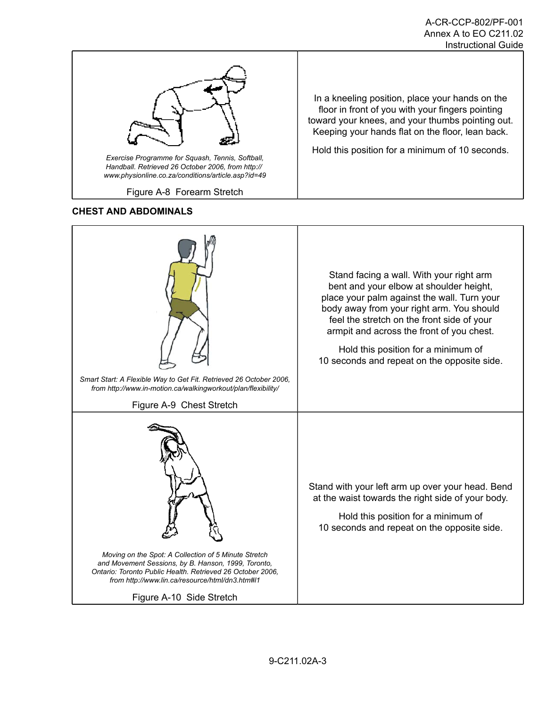![](_page_18_Picture_1.jpeg)

# **CHEST AND ABDOMINALS**

In a kneeling position, place your hands on the floor in front of you with your fingers pointing toward your knees, and your thumbs pointing out. Keeping your hands flat on the floor, lean back.

Hold this position for a minimum of 10 seconds.

![](_page_18_Figure_5.jpeg)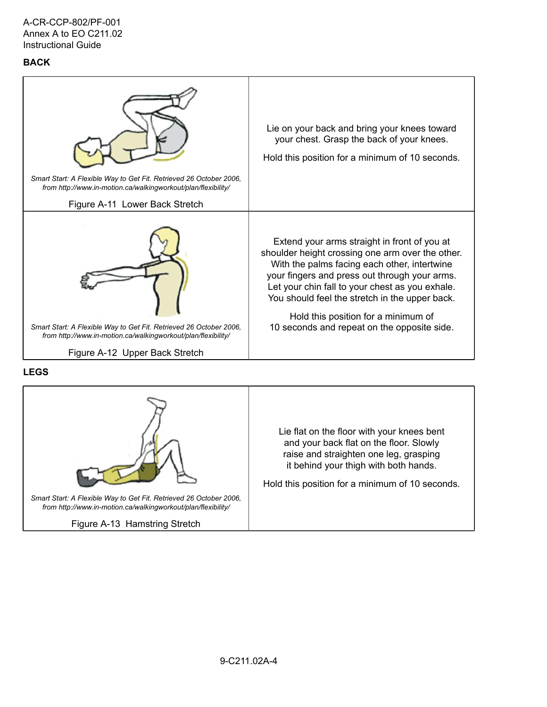# **BACK**

![](_page_19_Picture_2.jpeg)

# **LEGS**

![](_page_19_Picture_4.jpeg)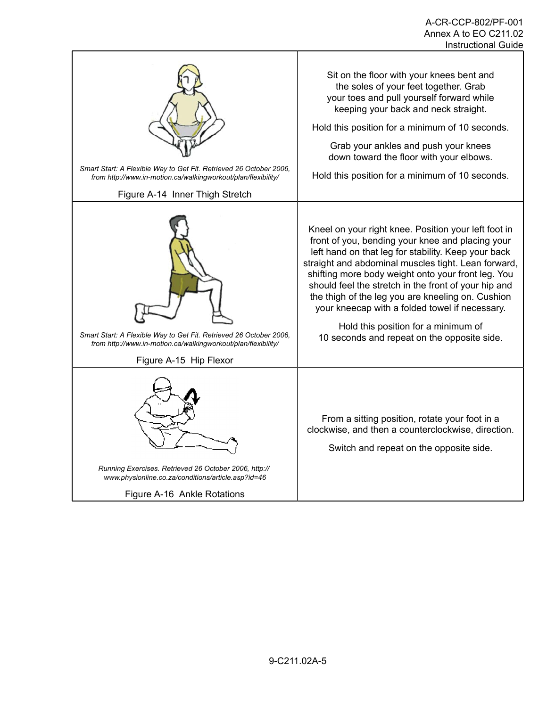![](_page_20_Figure_1.jpeg)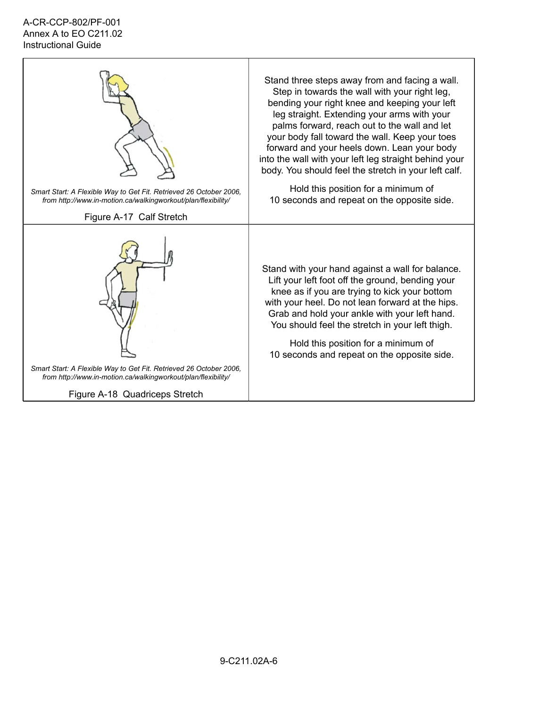![](_page_21_Figure_1.jpeg)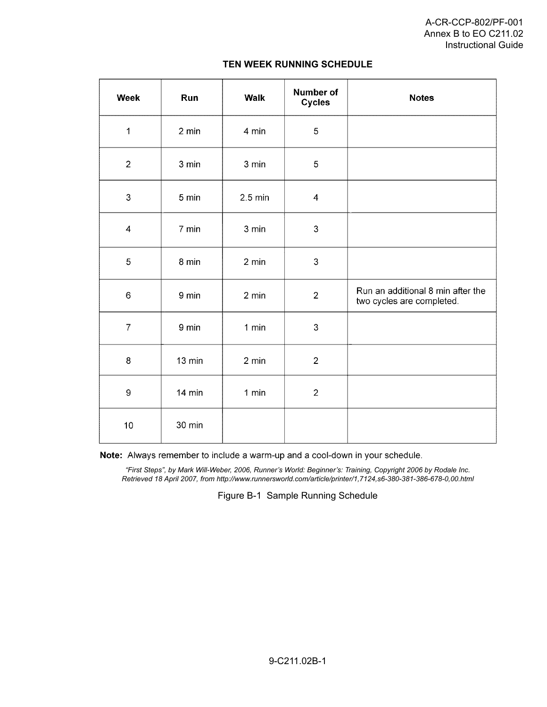# **TEN WEEK RUNNING SCHEDULE**

| <b>Week</b>              | Run    | <b>Walk</b>       | Number of<br><b>Cycles</b> | <b>Notes</b>                                                   |
|--------------------------|--------|-------------------|----------------------------|----------------------------------------------------------------|
| 1                        | 2 min  | 4 min             | 5                          |                                                                |
| $\overline{2}$           | 3 min  | 3 min             | $\mathbf 5$                |                                                                |
| $\mathbf{3}$             | 5 min  | $2.5 \text{ min}$ | $\overline{\mathbf{4}}$    |                                                                |
| $\overline{\mathcal{L}}$ | 7 min  | 3 min             | 3                          |                                                                |
| 5                        | 8 min  | 2 min             | $\mathfrak{S}$             |                                                                |
| $\,6\,$                  | 9 min  | 2 min             | $\overline{2}$             | Run an additional 8 min after the<br>two cycles are completed. |
| $\overline{7}$           | 9 min  | 1 min             | 3                          |                                                                |
| 8                        | 13 min | 2 min             | $\overline{2}$             |                                                                |
| $\boldsymbol{9}$         | 14 min | 1 min             | $\overline{c}$             |                                                                |
| 10                       | 30 min |                   |                            |                                                                |

Note: Always remember to include a warm-up and a cool-down in your schedule.

*"First Steps", by Mark Will-Weber, 2006, Runner's World: Beginner's: Training, Copyright 2006 by Rodale Inc. Retrieved 18 April 2007, from http://www.runnersworld.com/article/printer/1,7124,s6-380-381-386-678-0,00.html*

Figure B-1 Sample Running Schedule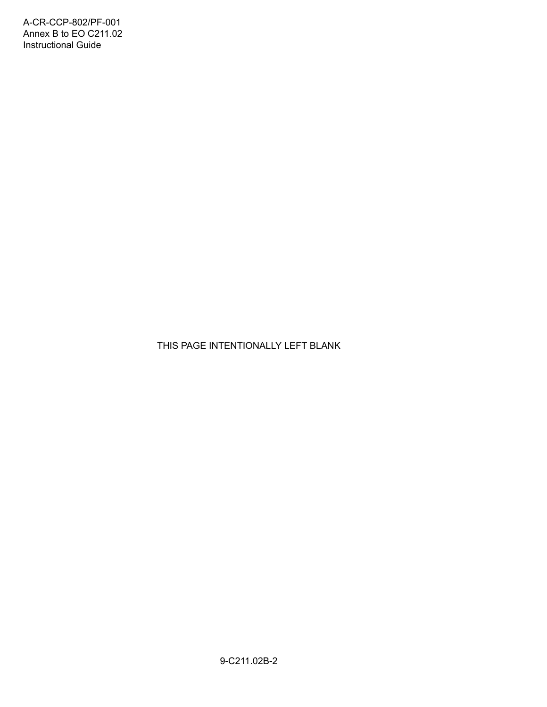THIS PAGE INTENTIONALLY LEFT BLANK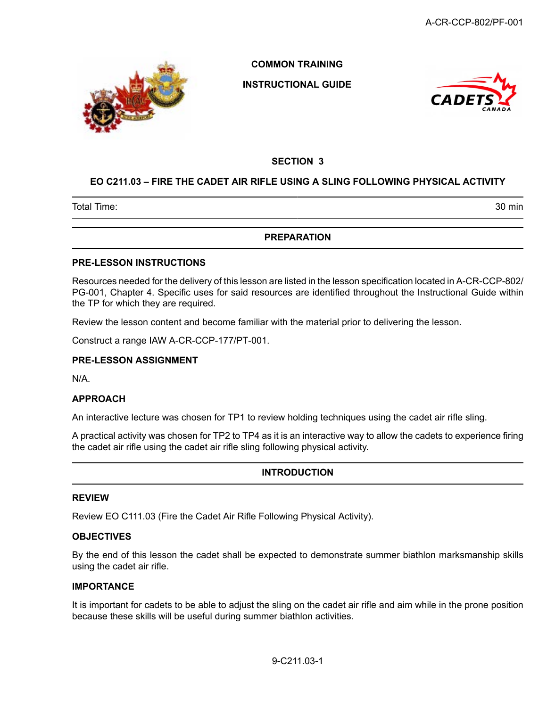![](_page_24_Picture_1.jpeg)

**COMMON TRAINING**

**INSTRUCTIONAL GUIDE**

![](_page_24_Picture_4.jpeg)

## **SECTION 3**

# **EO C211.03 – FIRE THE CADET AIR RIFLE USING A SLING FOLLOWING PHYSICAL ACTIVITY**

Total Time: 30 min

# **PREPARATION**

#### **PRE-LESSON INSTRUCTIONS**

Resources needed for the delivery of this lesson are listed in the lesson specification located in A-CR-CCP-802/ PG-001, Chapter 4. Specific uses for said resources are identified throughout the Instructional Guide within the TP for which they are required.

Review the lesson content and become familiar with the material prior to delivering the lesson.

Construct a range IAW A-CR-CCP-177/PT-001.

# **PRE-LESSON ASSIGNMENT**

N/A.

#### **APPROACH**

An interactive lecture was chosen for TP1 to review holding techniques using the cadet air rifle sling.

A practical activity was chosen for TP2 to TP4 as it is an interactive way to allow the cadets to experience firing the cadet air rifle using the cadet air rifle sling following physical activity.

# **INTRODUCTION**

#### **REVIEW**

Review EO C111.03 (Fire the Cadet Air Rifle Following Physical Activity).

#### **OBJECTIVES**

By the end of this lesson the cadet shall be expected to demonstrate summer biathlon marksmanship skills using the cadet air rifle.

#### **IMPORTANCE**

It is important for cadets to be able to adjust the sling on the cadet air rifle and aim while in the prone position because these skills will be useful during summer biathlon activities.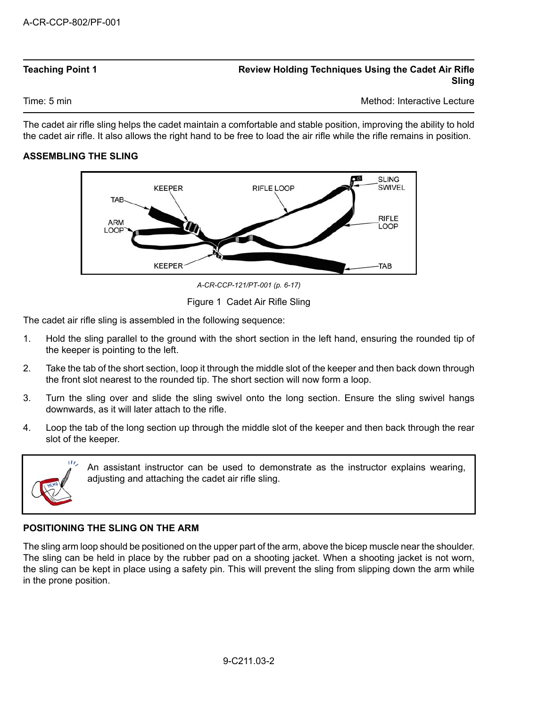# **Teaching Point 1 Review Holding Techniques Using the Cadet Air Rifle Sling**

Time: 5 min Method: Interactive Lecture Company of Time: 5 min Method: Interactive Lecture

The cadet air rifle sling helps the cadet maintain a comfortable and stable position, improving the ability to hold the cadet air rifle. It also allows the right hand to be free to load the air rifle while the rifle remains in position.

# **ASSEMBLING THE SLING**

![](_page_25_Figure_7.jpeg)

*A-CR-CCP-121/PT-001 (p. 6-17)*

Figure 1 Cadet Air Rifle Sling

The cadet air rifle sling is assembled in the following sequence:

- 1. Hold the sling parallel to the ground with the short section in the left hand, ensuring the rounded tip of the keeper is pointing to the left.
- 2. Take the tab of the short section, loop it through the middle slot of the keeper and then back down through the front slot nearest to the rounded tip. The short section will now form a loop.
- 3. Turn the sling over and slide the sling swivel onto the long section. Ensure the sling swivel hangs downwards, as it will later attach to the rifle.
- 4. Loop the tab of the long section up through the middle slot of the keeper and then back through the rear slot of the keeper.

![](_page_25_Picture_15.jpeg)

An assistant instructor can be used to demonstrate as the instructor explains wearing, adjusting and attaching the cadet air rifle sling.

# **POSITIONING THE SLING ON THE ARM**

The sling arm loop should be positioned on the upper part of the arm, above the bicep muscle near the shoulder. The sling can be held in place by the rubber pad on a shooting jacket. When a shooting jacket is not worn, the sling can be kept in place using a safety pin. This will prevent the sling from slipping down the arm while in the prone position.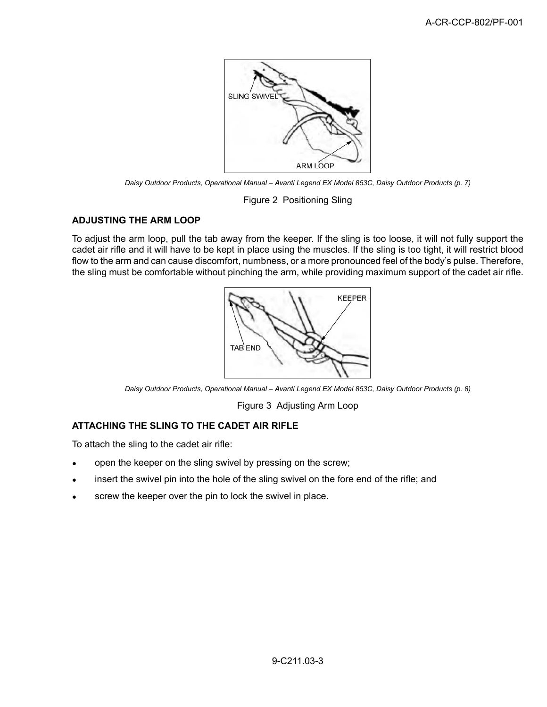![](_page_26_Picture_1.jpeg)

*Daisy Outdoor Products, Operational Manual – Avanti Legend EX Model 853C, Daisy Outdoor Products (p. 7)*

Figure 2 Positioning Sling

# **ADJUSTING THE ARM LOOP**

To adjust the arm loop, pull the tab away from the keeper. If the sling is too loose, it will not fully support the cadet air rifle and it will have to be kept in place using the muscles. If the sling is too tight, it will restrict blood flow to the arm and can cause discomfort, numbness, or a more pronounced feel of the body's pulse. Therefore, the sling must be comfortable without pinching the arm, while providing maximum support of the cadet air rifle.

![](_page_26_Figure_6.jpeg)

*Daisy Outdoor Products, Operational Manual – Avanti Legend EX Model 853C, Daisy Outdoor Products (p. 8)*

Figure 3 Adjusting Arm Loop

# **ATTACHING THE SLING TO THE CADET AIR RIFLE**

To attach the sling to the cadet air rifle:

- open the keeper on the sling swivel by pressing on the screw;
- insert the swivel pin into the hole of the sling swivel on the fore end of the rifle; and
- screw the keeper over the pin to lock the swivel in place.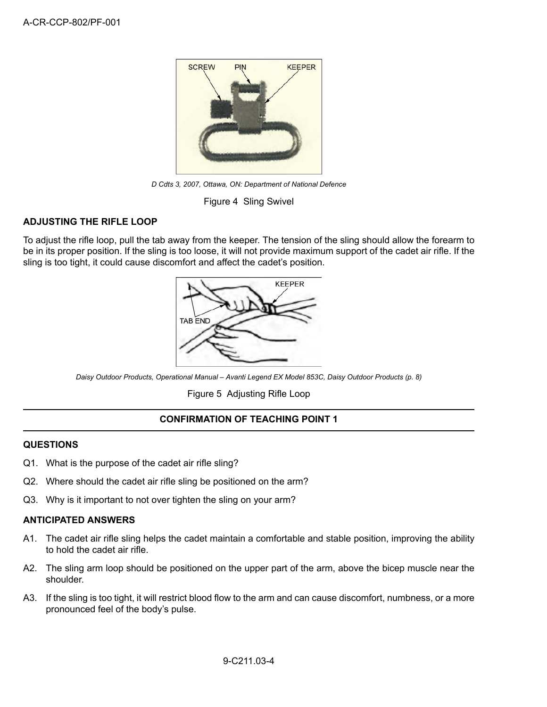![](_page_27_Picture_1.jpeg)

*D Cdts 3, 2007, Ottawa, ON: Department of National Defence*

Figure 4 Sling Swivel

# **ADJUSTING THE RIFLE LOOP**

To adjust the rifle loop, pull the tab away from the keeper. The tension of the sling should allow the forearm to be in its proper position. If the sling is too loose, it will not provide maximum support of the cadet air rifle. If the sling is too tight, it could cause discomfort and affect the cadet's position.

![](_page_27_Picture_6.jpeg)

*Daisy Outdoor Products, Operational Manual – Avanti Legend EX Model 853C, Daisy Outdoor Products (p. 8)*

Figure 5 Adjusting Rifle Loop

# **CONFIRMATION OF TEACHING POINT 1**

# **QUESTIONS**

- Q1. What is the purpose of the cadet air rifle sling?
- Q2. Where should the cadet air rifle sling be positioned on the arm?
- Q3. Why is it important to not over tighten the sling on your arm?

# **ANTICIPATED ANSWERS**

- A1. The cadet air rifle sling helps the cadet maintain a comfortable and stable position, improving the ability to hold the cadet air rifle.
- A2. The sling arm loop should be positioned on the upper part of the arm, above the bicep muscle near the shoulder.
- A3. If the sling is too tight, it will restrict blood flow to the arm and can cause discomfort, numbness, or a more pronounced feel of the body's pulse.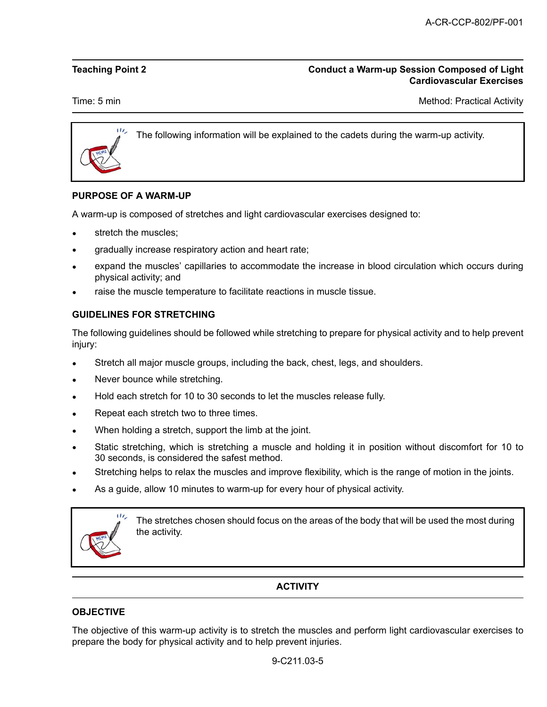# **Teaching Point 2 Conduct a Warm-up Session Composed of Light Cardiovascular Exercises**

Time: 5 min Method: Practical Activity

 $\mathbf{u}_i$ The following information will be explained to the cadets during the warm-up activity.

# **PURPOSE OF A WARM-UP**

A warm-up is composed of stretches and light cardiovascular exercises designed to:

- stretch the muscles:
- gradually increase respiratory action and heart rate;
- expand the muscles' capillaries to accommodate the increase in blood circulation which occurs during physical activity; and
- raise the muscle temperature to facilitate reactions in muscle tissue.

# **GUIDELINES FOR STRETCHING**

The following guidelines should be followed while stretching to prepare for physical activity and to help prevent injury:

- Stretch all major muscle groups, including the back, chest, legs, and shoulders.
- Never bounce while stretching.
- Hold each stretch for 10 to 30 seconds to let the muscles release fully.
- Repeat each stretch two to three times.
- When holding a stretch, support the limb at the joint.
- Static stretching, which is stretching a muscle and holding it in position without discomfort for 10 to 30 seconds, is considered the safest method.
- Stretching helps to relax the muscles and improve flexibility, which is the range of motion in the joints.
- As a guide, allow 10 minutes to warm-up for every hour of physical activity.

![](_page_28_Picture_22.jpeg)

The stretches chosen should focus on the areas of the body that will be used the most during the activity.

# **ACTIVITY**

# **OBJECTIVE**

The objective of this warm-up activity is to stretch the muscles and perform light cardiovascular exercises to prepare the body for physical activity and to help prevent injuries.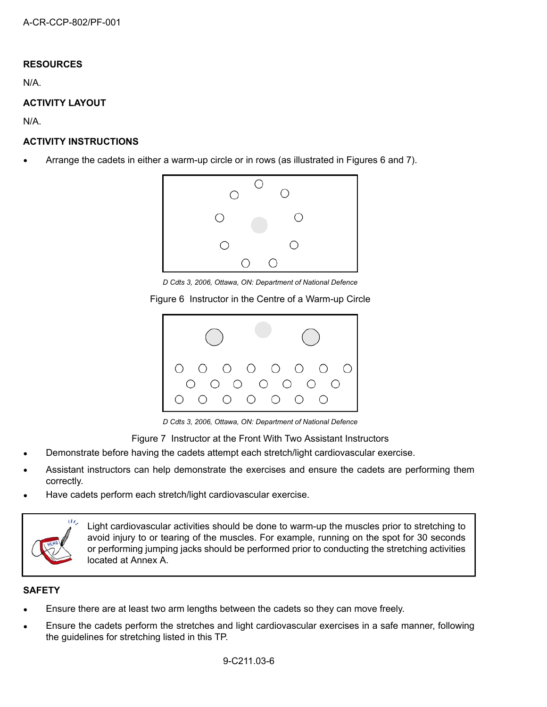# **RESOURCES**

N/A.

# **ACTIVITY LAYOUT**

N/A.

# **ACTIVITY INSTRUCTIONS**

• Arrange the cadets in either a warm-up circle or in rows (as illustrated in Figures 6 and 7).

![](_page_29_Figure_7.jpeg)

*D Cdts 3, 2006, Ottawa, ON: Department of National Defence*

![](_page_29_Figure_9.jpeg)

![](_page_29_Figure_10.jpeg)

*D Cdts 3, 2006, Ottawa, ON: Department of National Defence*

Figure 7 Instructor at the Front With Two Assistant Instructors

- Demonstrate before having the cadets attempt each stretch/light cardiovascular exercise.
- Assistant instructors can help demonstrate the exercises and ensure the cadets are performing them correctly.
- Have cadets perform each stretch/light cardiovascular exercise.

![](_page_29_Picture_16.jpeg)

Light cardiovascular activities should be done to warm-up the muscles prior to stretching to avoid injury to or tearing of the muscles. For example, running on the spot for 30 seconds or performing jumping jacks should be performed prior to conducting the stretching activities located at Annex A.

# **SAFETY**

- Ensure there are at least two arm lengths between the cadets so they can move freely.
- Ensure the cadets perform the stretches and light cardiovascular exercises in a safe manner, following the guidelines for stretching listed in this TP.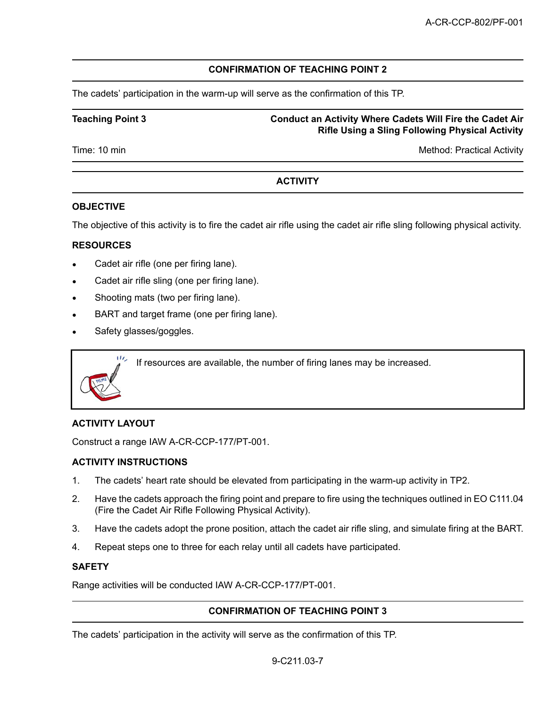# **CONFIRMATION OF TEACHING POINT 2**

The cadets' participation in the warm-up will serve as the confirmation of this TP.

#### **Teaching Point 3 Conduct an Activity Where Cadets Will Fire the Cadet Air Rifle Using a Sling Following Physical Activity**

Time: 10 min Method: Practical Activity

# **ACTIVITY**

# **OBJECTIVE**

The objective of this activity is to fire the cadet air rifle using the cadet air rifle sling following physical activity.

# **RESOURCES**

- Cadet air rifle (one per firing lane).
- Cadet air rifle sling (one per firing lane).
- Shooting mats (two per firing lane).
- BART and target frame (one per firing lane).
- Safety glasses/goggles.

![](_page_30_Picture_16.jpeg)

If resources are available, the number of firing lanes may be increased.

# **ACTIVITY LAYOUT**

Construct a range IAW A-CR-CCP-177/PT-001.

# **ACTIVITY INSTRUCTIONS**

- 1. The cadets' heart rate should be elevated from participating in the warm-up activity in TP2.
- 2. Have the cadets approach the firing point and prepare to fire using the techniques outlined in EO C111.04 (Fire the Cadet Air Rifle Following Physical Activity).
- 3. Have the cadets adopt the prone position, attach the cadet air rifle sling, and simulate firing at the BART.
- 4. Repeat steps one to three for each relay until all cadets have participated.

# **SAFETY**

Range activities will be conducted IAW A-CR-CCP-177/PT-001.

# **CONFIRMATION OF TEACHING POINT 3**

The cadets' participation in the activity will serve as the confirmation of this TP.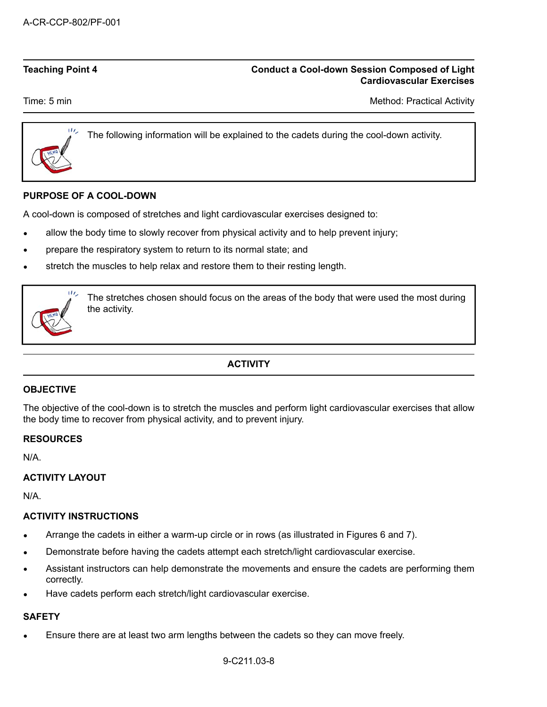# **Teaching Point 4 Conduct a Cool-down Session Composed of Light Cardiovascular Exercises**

Time: 5 min Method: Practical Activity

![](_page_31_Picture_5.jpeg)

The following information will be explained to the cadets during the cool-down activity.

# **PURPOSE OF A COOL-DOWN**

A cool-down is composed of stretches and light cardiovascular exercises designed to:

- allow the body time to slowly recover from physical activity and to help prevent injury;
- prepare the respiratory system to return to its normal state; and
- stretch the muscles to help relax and restore them to their resting length.

![](_page_31_Picture_12.jpeg)

The stretches chosen should focus on the areas of the body that were used the most during the activity.

# **ACTIVITY**

# **OBJECTIVE**

The objective of the cool-down is to stretch the muscles and perform light cardiovascular exercises that allow the body time to recover from physical activity, and to prevent injury.

# **RESOURCES**

N/A.

# **ACTIVITY LAYOUT**

N/A.

# **ACTIVITY INSTRUCTIONS**

- Arrange the cadets in either a warm-up circle or in rows (as illustrated in Figures 6 and 7).
- Demonstrate before having the cadets attempt each stretch/light cardiovascular exercise.
- Assistant instructors can help demonstrate the movements and ensure the cadets are performing them correctly.
- Have cadets perform each stretch/light cardiovascular exercise.

# **SAFETY**

• Ensure there are at least two arm lengths between the cadets so they can move freely.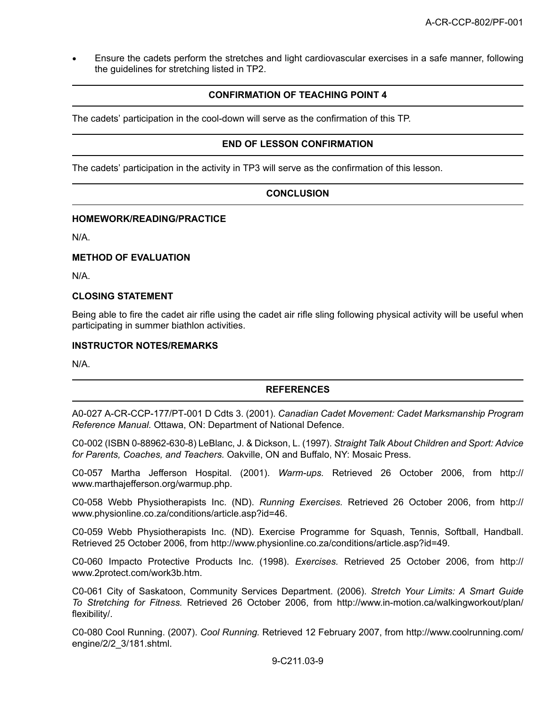• Ensure the cadets perform the stretches and light cardiovascular exercises in a safe manner, following the guidelines for stretching listed in TP2.

# **CONFIRMATION OF TEACHING POINT 4**

The cadets' participation in the cool-down will serve as the confirmation of this TP.

#### **END OF LESSON CONFIRMATION**

The cadets' participation in the activity in TP3 will serve as the confirmation of this lesson.

# **CONCLUSION**

#### **HOMEWORK/READING/PRACTICE**

N/A.

**METHOD OF EVALUATION**

N/A.

#### **CLOSING STATEMENT**

Being able to fire the cadet air rifle using the cadet air rifle sling following physical activity will be useful when participating in summer biathlon activities.

#### **INSTRUCTOR NOTES/REMARKS**

N/A.

#### **REFERENCES**

A0-027 A-CR-CCP-177/PT-001 D Cdts 3. (2001). *Canadian Cadet Movement: Cadet Marksmanship Program Reference Manual.* Ottawa, ON: Department of National Defence.

C0-002 (ISBN 0-88962-630-8) LeBlanc, J. & Dickson, L. (1997). *Straight Talk About Children and Sport: Advice for Parents, Coaches, and Teachers.* Oakville, ON and Buffalo, NY: Mosaic Press.

C0-057 Martha Jefferson Hospital. (2001). *Warm-ups.* Retrieved 26 October 2006, from http:// www.marthajefferson.org/warmup.php.

C0-058 Webb Physiotherapists Inc. (ND). *Running Exercises.* Retrieved 26 October 2006, from http:// www.physionline.co.za/conditions/article.asp?id=46.

C0-059 Webb Physiotherapists Inc. (ND). Exercise Programme for Squash, Tennis, Softball, Handball. Retrieved 25 October 2006, from http://www.physionline.co.za/conditions/article.asp?id=49.

C0-060 Impacto Protective Products Inc. (1998). *Exercises.* Retrieved 25 October 2006, from http:// www.2protect.com/work3b.htm.

C0-061 City of Saskatoon, Community Services Department. (2006). *Stretch Your Limits: A Smart Guide To Stretching for Fitness.* Retrieved 26 October 2006, from http://www.in-motion.ca/walkingworkout/plan/ flexibility/.

C0-080 Cool Running. (2007). *Cool Running.* Retrieved 12 February 2007, from http://www.coolrunning.com/ engine/2/2\_3/181.shtml.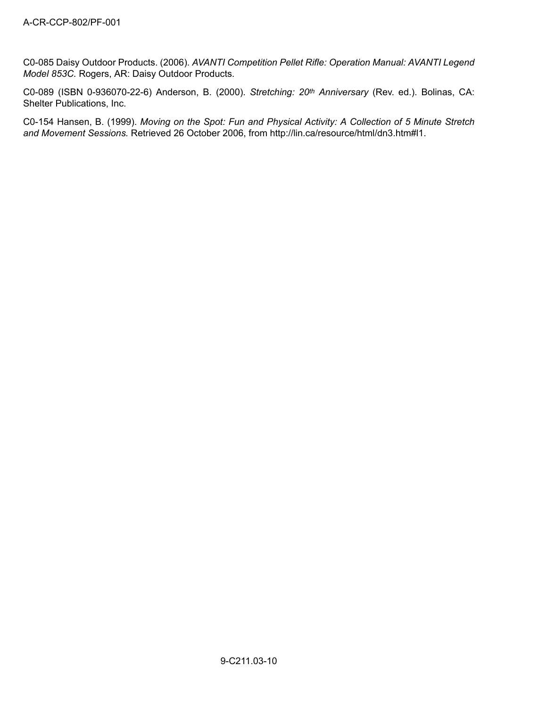C0-085 Daisy Outdoor Products. (2006). *AVANTI Competition Pellet Rifle: Operation Manual: AVANTI Legend Model 853C.* Rogers, AR: Daisy Outdoor Products.

C0-089 (ISBN 0-936070-22-6) Anderson, B. (2000). *Stretching: 20th Anniversary* (Rev. ed.). Bolinas, CA: Shelter Publications, Inc.

C0-154 Hansen, B. (1999). *Moving on the Spot: Fun and Physical Activity: A Collection of 5 Minute Stretch and Movement Sessions.* Retrieved 26 October 2006, from http://lin.ca/resource/html/dn3.htm#l1.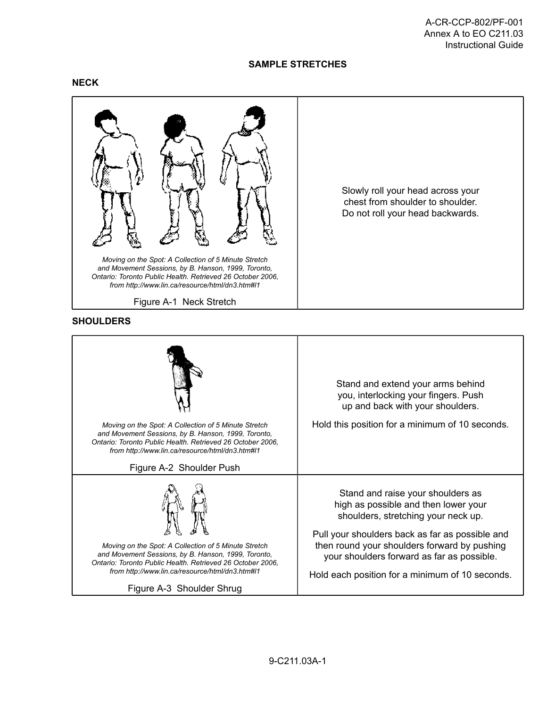#### **SAMPLE STRETCHES**

![](_page_34_Figure_2.jpeg)

![](_page_34_Figure_3.jpeg)

![](_page_34_Picture_4.jpeg)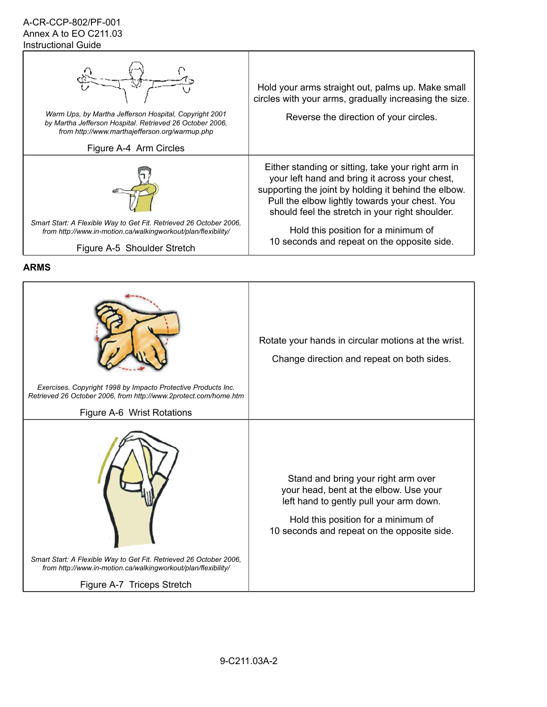| Warm Ups, by Martha Jefferson Hospital, Copyright 2001<br>by Martha Jefferson Hospital. Retrieved 26 October 2006.<br>from http://www.marthajefferson.org/warmup.php<br>Figure A-4 Arm Circles | Hold your arms straight out, palms up. Make small<br>circles with your arms, gradually increasing the size.<br>Reverse the direction of your circles.                                                                                                                                                                                                   |
|------------------------------------------------------------------------------------------------------------------------------------------------------------------------------------------------|---------------------------------------------------------------------------------------------------------------------------------------------------------------------------------------------------------------------------------------------------------------------------------------------------------------------------------------------------------|
| Smart Start: A Flexible Way to Get Fit. Retrieved 26 October 2006,<br>from http://www.in-motion.ca/walkingworkout/plan/flexibility/<br>Figure A-5 Shoulder Stretch                             | Either standing or sitting, take your right arm in<br>your left hand and bring it across your chest,<br>supporting the joint by holding it behind the elbow.<br>Pull the elbow lightly towards your chest. You<br>should feel the stretch in your right shoulder.<br>Hold this position for a minimum of<br>10 seconds and repeat on the opposite side. |

# **ARMS**

| Exercises. Copyright 1998 by Impacto Protective Products Inc.<br>Retrieved 26 October 2006, from http://www.2protect.com/home.htm<br>Figure A-6 Wrist Rotations | Rotate your hands in circular motions at the wrist.<br>Change direction and repeat on both sides.                                                                                                              |
|-----------------------------------------------------------------------------------------------------------------------------------------------------------------|----------------------------------------------------------------------------------------------------------------------------------------------------------------------------------------------------------------|
|                                                                                                                                                                 | Stand and bring your right arm over<br>your head, bent at the elbow. Use your<br>left hand to gently pull your arm down.<br>Hold this position for a minimum of<br>10 seconds and repeat on the opposite side. |
| Smart Start: A Flexible Way to Get Fit. Retrieved 26 October 2006,<br>from http://www.in-motion.ca/walkingworkout/plan/flexibility/                             |                                                                                                                                                                                                                |
| Figure A-7 Triceps Stretch                                                                                                                                      |                                                                                                                                                                                                                |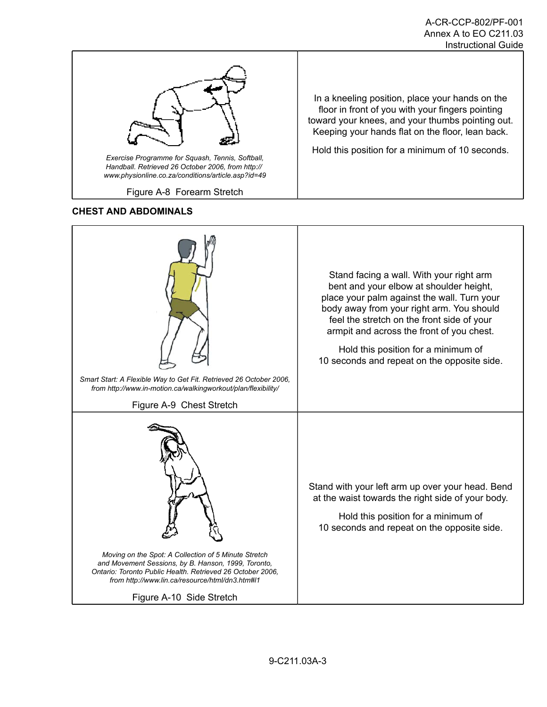![](_page_36_Picture_1.jpeg)

# **CHEST AND ABDOMINALS**

In a kneeling position, place your hands on the floor in front of you with your fingers pointing toward your knees, and your thumbs pointing out. Keeping your hands flat on the floor, lean back.

Hold this position for a minimum of 10 seconds.

![](_page_36_Figure_5.jpeg)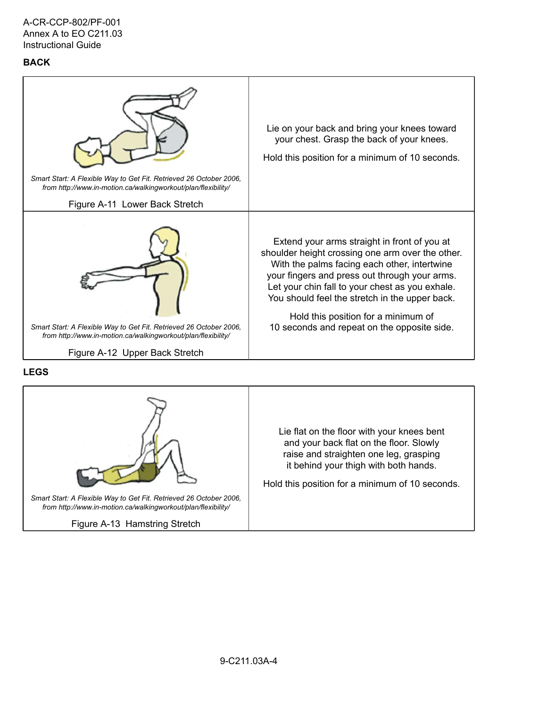# **BACK**

![](_page_37_Picture_2.jpeg)

# **LEGS**

![](_page_37_Picture_4.jpeg)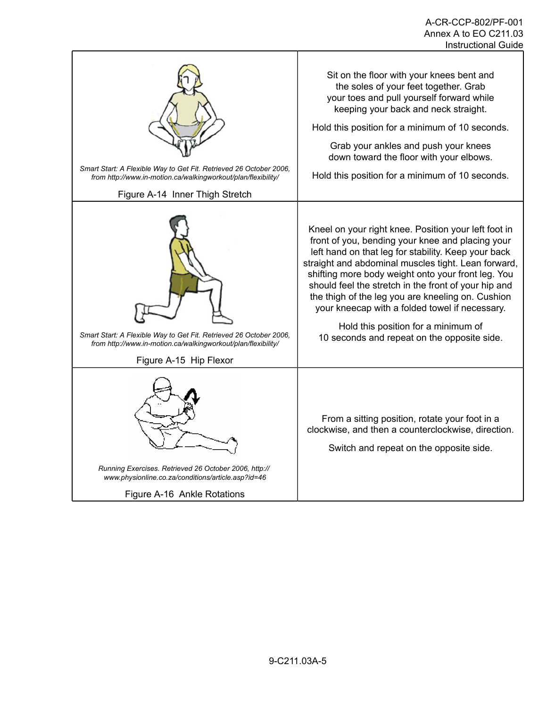![](_page_38_Figure_1.jpeg)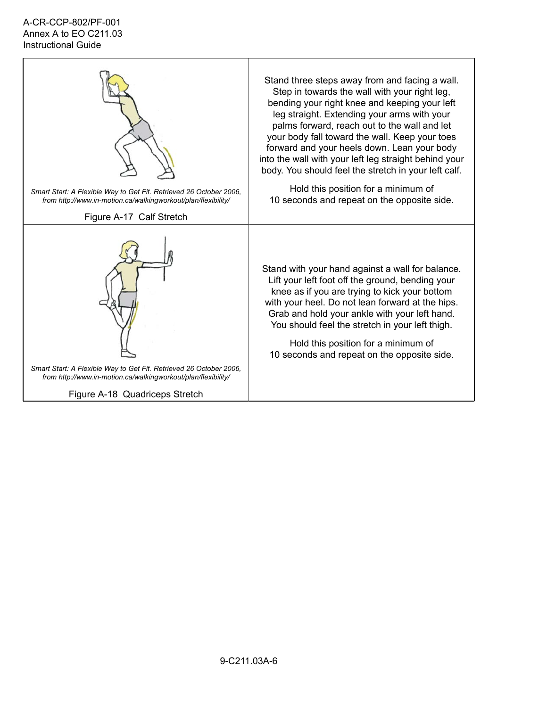![](_page_39_Figure_1.jpeg)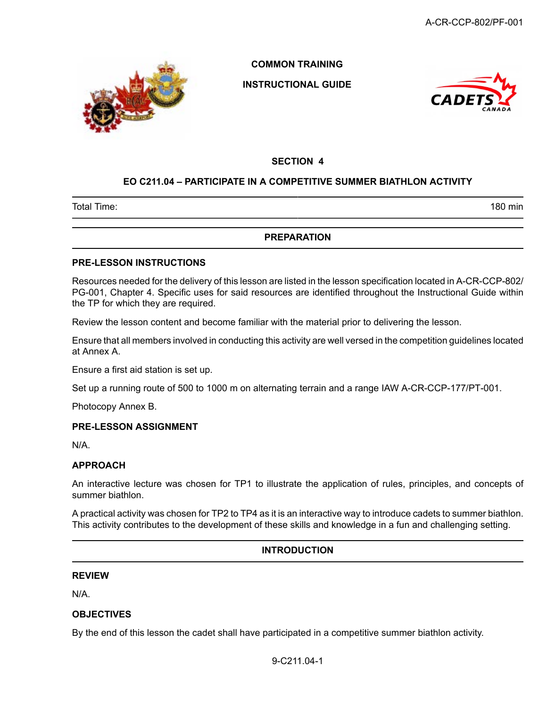![](_page_40_Picture_1.jpeg)

**COMMON TRAINING**

**INSTRUCTIONAL GUIDE**

![](_page_40_Picture_4.jpeg)

## **SECTION 4**

# **EO C211.04 – PARTICIPATE IN A COMPETITIVE SUMMER BIATHLON ACTIVITY**

Total Time: 180 min

# **PREPARATION**

#### **PRE-LESSON INSTRUCTIONS**

Resources needed for the delivery of this lesson are listed in the lesson specification located in A-CR-CCP-802/ PG-001, Chapter 4. Specific uses for said resources are identified throughout the Instructional Guide within the TP for which they are required.

Review the lesson content and become familiar with the material prior to delivering the lesson.

Ensure that all members involved in conducting this activity are well versed in the competition guidelines located at Annex A.

Ensure a first aid station is set up.

Set up a running route of 500 to 1000 m on alternating terrain and a range IAW A-CR-CCP-177/PT-001.

Photocopy Annex B.

#### **PRE-LESSON ASSIGNMENT**

N/A.

#### **APPROACH**

An interactive lecture was chosen for TP1 to illustrate the application of rules, principles, and concepts of summer biathlon.

A practical activity was chosen for TP2 to TP4 as it is an interactive way to introduce cadets to summer biathlon. This activity contributes to the development of these skills and knowledge in a fun and challenging setting.

# **INTRODUCTION**

## **REVIEW**

N/A.

#### **OBJECTIVES**

By the end of this lesson the cadet shall have participated in a competitive summer biathlon activity.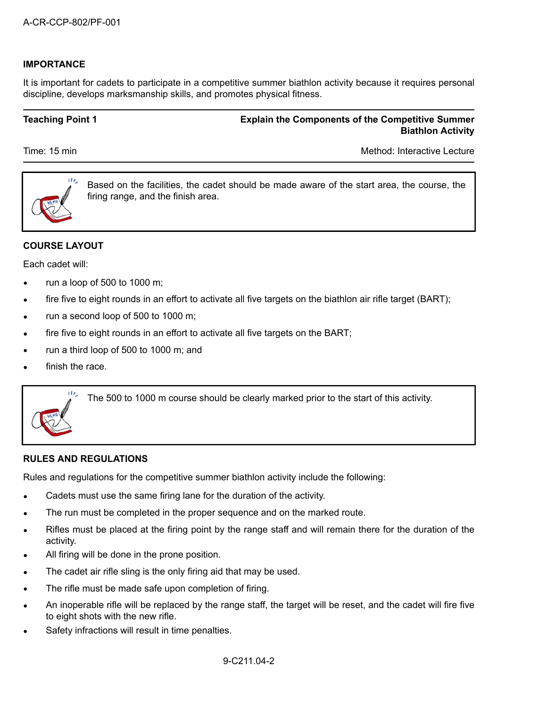# **IMPORTANCE**

It is important for cadets to participate in a competitive summer biathlon activity because it requires personal discipline, develops marksmanship skills, and promotes physical fitness.

# **Teaching Point 1 Explain the Components of the Competitive Summer Biathlon Activity**

Time: 15 min Method: Interactive Lecture Lecture

![](_page_41_Picture_7.jpeg)

Based on the facilities, the cadet should be made aware of the start area, the course, the firing range, and the finish area.

# **COURSE LAYOUT**

Each cadet will:

- run a loop of 500 to 1000 m;
- fire five to eight rounds in an effort to activate all five targets on the biathlon air rifle target (BART);
- run a second loop of 500 to 1000 m;
- fire five to eight rounds in an effort to activate all five targets on the BART;
- run a third loop of 500 to 1000 m; and
- finish the race.

The 500 to 1000 m course should be clearly marked prior to the start of this activity.

# **RULES AND REGULATIONS**

Rules and regulations for the competitive summer biathlon activity include the following:

- Cadets must use the same firing lane for the duration of the activity.
- The run must be completed in the proper sequence and on the marked route.
- Rifles must be placed at the firing point by the range staff and will remain there for the duration of the activity.
- All firing will be done in the prone position.
- The cadet air rifle sling is the only firing aid that may be used.
- The rifle must be made safe upon completion of firing.
- An inoperable rifle will be replaced by the range staff, the target will be reset, and the cadet will fire five to eight shots with the new rifle.
- Safety infractions will result in time penalties.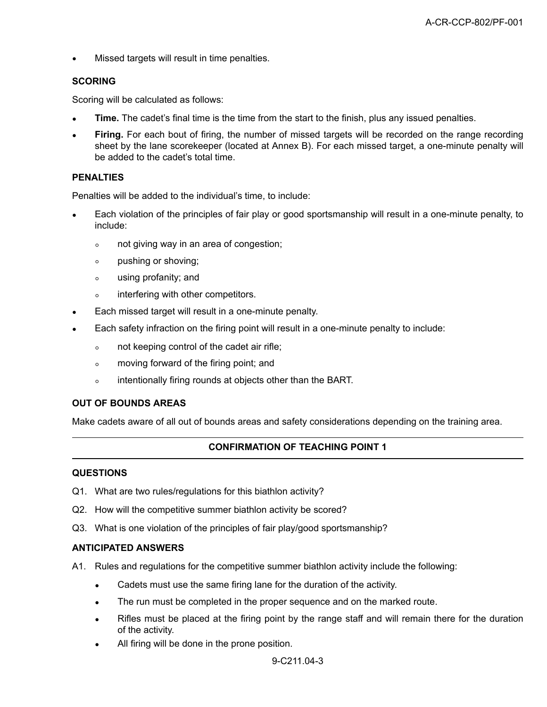Missed targets will result in time penalties.

# **SCORING**

Scoring will be calculated as follows:

- **Time.** The cadet's final time is the time from the start to the finish, plus any issued penalties.
- **Firing.** For each bout of firing, the number of missed targets will be recorded on the range recording sheet by the lane scorekeeper (located at Annex B). For each missed target, a one-minute penalty will be added to the cadet's total time.

# **PENALTIES**

Penalties will be added to the individual's time, to include:

- Each violation of the principles of fair play or good sportsmanship will result in a one-minute penalty, to include:
	- not giving way in an area of congestion;
	- pushing or shoving;
	- using profanity; and
	- $\circ$ interfering with other competitors.
- Each missed target will result in a one-minute penalty.
- Each safety infraction on the firing point will result in a one-minute penalty to include:
	- not keeping control of the cadet air rifle;
	- moving forward of the firing point; and
	- $\circ$ intentionally firing rounds at objects other than the BART.

# **OUT OF BOUNDS AREAS**

Make cadets aware of all out of bounds areas and safety considerations depending on the training area.

# **CONFIRMATION OF TEACHING POINT 1**

#### **QUESTIONS**

- Q1. What are two rules/regulations for this biathlon activity?
- Q2. How will the competitive summer biathlon activity be scored?
- Q3. What is one violation of the principles of fair play/good sportsmanship?

#### **ANTICIPATED ANSWERS**

- A1. Rules and regulations for the competitive summer biathlon activity include the following:
	- Cadets must use the same firing lane for the duration of the activity.
	- The run must be completed in the proper sequence and on the marked route.
	- Rifles must be placed at the firing point by the range staff and will remain there for the duration of the activity.
	- All firing will be done in the prone position.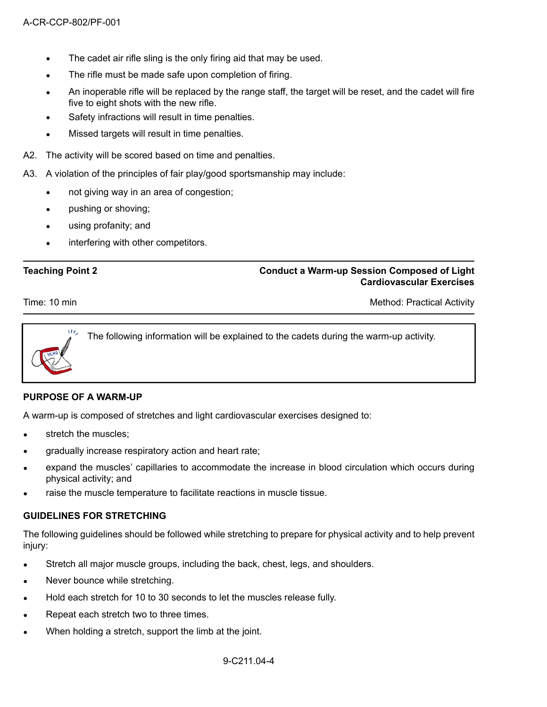- The cadet air rifle sling is the only firing aid that may be used.
- The rifle must be made safe upon completion of firing.
- An inoperable rifle will be replaced by the range staff, the target will be reset, and the cadet will fire five to eight shots with the new rifle.
- Safety infractions will result in time penalties.
- Missed targets will result in time penalties.
- A2. The activity will be scored based on time and penalties.
- A3. A violation of the principles of fair play/good sportsmanship may include:
	- not giving way in an area of congestion;
	- pushing or shoving;
	- using profanity; and
	- interfering with other competitors.

# **Teaching Point 2 Conduct a Warm-up Session Composed of Light Cardiovascular Exercises**

Time: 10 min Method: Practical Activity

![](_page_43_Picture_16.jpeg)

# **PURPOSE OF A WARM-UP**

A warm-up is composed of stretches and light cardiovascular exercises designed to:

- stretch the muscles:
- gradually increase respiratory action and heart rate;
- expand the muscles' capillaries to accommodate the increase in blood circulation which occurs during physical activity; and
- raise the muscle temperature to facilitate reactions in muscle tissue.

# **GUIDELINES FOR STRETCHING**

The following guidelines should be followed while stretching to prepare for physical activity and to help prevent injury:

- Stretch all major muscle groups, including the back, chest, legs, and shoulders.
- Never bounce while stretching.
- Hold each stretch for 10 to 30 seconds to let the muscles release fully.
- Repeat each stretch two to three times.
- When holding a stretch, support the limb at the joint.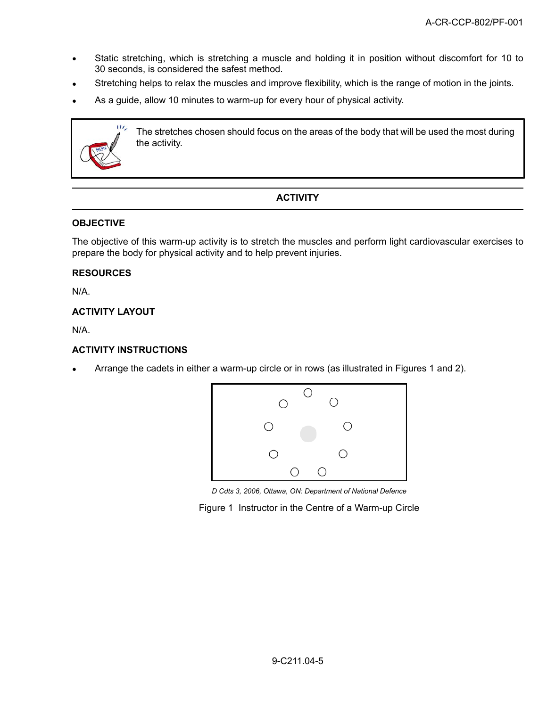- Static stretching, which is stretching a muscle and holding it in position without discomfort for 10 to 30 seconds, is considered the safest method.
- Stretching helps to relax the muscles and improve flexibility, which is the range of motion in the joints.
- As a guide, allow 10 minutes to warm-up for every hour of physical activity.

![](_page_44_Picture_4.jpeg)

The stretches chosen should focus on the areas of the body that will be used the most during the activity.

# **ACTIVITY**

#### **OBJECTIVE**

The objective of this warm-up activity is to stretch the muscles and perform light cardiovascular exercises to prepare the body for physical activity and to help prevent injuries.

#### **RESOURCES**

N/A.

# **ACTIVITY LAYOUT**

N/A.

# **ACTIVITY INSTRUCTIONS**

• Arrange the cadets in either a warm-up circle or in rows (as illustrated in Figures 1 and 2).

![](_page_44_Picture_15.jpeg)

*D Cdts 3, 2006, Ottawa, ON: Department of National Defence*

Figure 1 Instructor in the Centre of a Warm-up Circle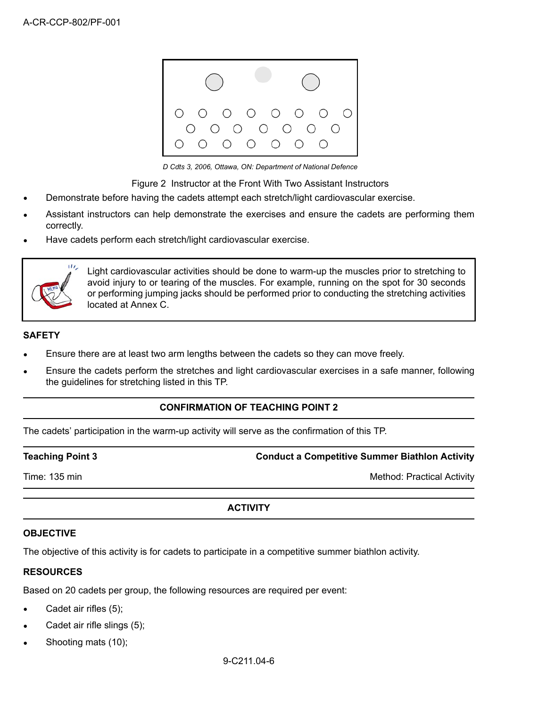![](_page_45_Picture_1.jpeg)

*D Cdts 3, 2006, Ottawa, ON: Department of National Defence*

Figure 2 Instructor at the Front With Two Assistant Instructors

- Demonstrate before having the cadets attempt each stretch/light cardiovascular exercise.
- Assistant instructors can help demonstrate the exercises and ensure the cadets are performing them correctly.
- Have cadets perform each stretch/light cardiovascular exercise.

![](_page_45_Picture_7.jpeg)

Light cardiovascular activities should be done to warm-up the muscles prior to stretching to avoid injury to or tearing of the muscles. For example, running on the spot for 30 seconds or performing jumping jacks should be performed prior to conducting the stretching activities located at Annex C.

# **SAFETY**

- Ensure there are at least two arm lengths between the cadets so they can move freely.
- Ensure the cadets perform the stretches and light cardiovascular exercises in a safe manner, following the guidelines for stretching listed in this TP.

# **CONFIRMATION OF TEACHING POINT 2**

The cadets' participation in the warm-up activity will serve as the confirmation of this TP.

**Teaching Point 3 Conduct a Competitive Summer Biathlon Activity**

Time: 135 min Method: Practical Activity and Method: Practical Activity and Method: Practical Activity

## **ACTIVITY**

#### **OBJECTIVE**

The objective of this activity is for cadets to participate in a competitive summer biathlon activity.

#### **RESOURCES**

Based on 20 cadets per group, the following resources are required per event:

- Cadet air rifles (5);
- Cadet air rifle slings (5);
- Shooting mats (10);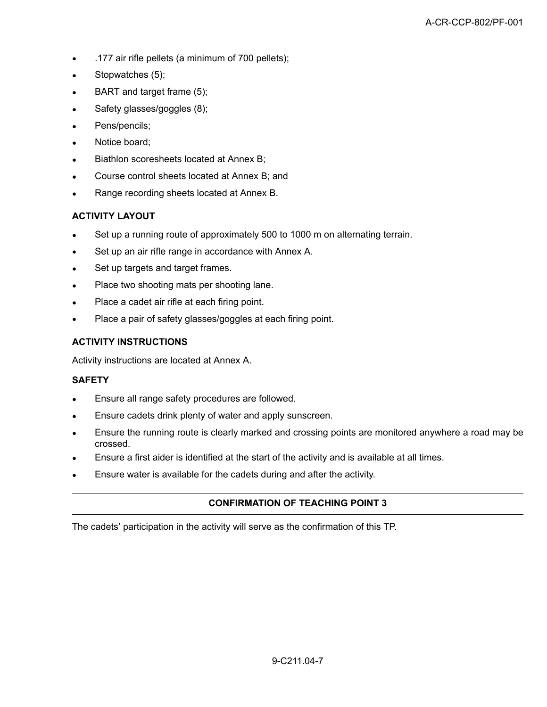- .177 air rifle pellets (a minimum of 700 pellets);
- Stopwatches (5);
- BART and target frame (5);
- Safety glasses/goggles (8);
- Pens/pencils;
- Notice board;
- Biathlon scoresheets located at Annex B;
- Course control sheets located at Annex B; and
- Range recording sheets located at Annex B.

# **ACTIVITY LAYOUT**

- Set up a running route of approximately 500 to 1000 m on alternating terrain.
- Set up an air rifle range in accordance with Annex A.
- Set up targets and target frames.
- Place two shooting mats per shooting lane.
- Place a cadet air rifle at each firing point.
- Place a pair of safety glasses/goggles at each firing point.

# **ACTIVITY INSTRUCTIONS**

Activity instructions are located at Annex A.

# **SAFETY**

- Ensure all range safety procedures are followed.
- Ensure cadets drink plenty of water and apply sunscreen.
- Ensure the running route is clearly marked and crossing points are monitored anywhere a road may be crossed.
- Ensure a first aider is identified at the start of the activity and is available at all times.
- Ensure water is available for the cadets during and after the activity.

# **CONFIRMATION OF TEACHING POINT 3**

The cadets' participation in the activity will serve as the confirmation of this TP.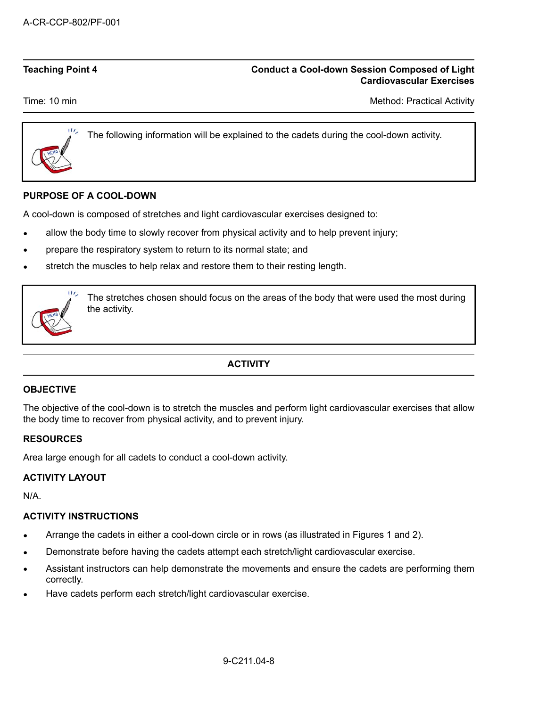# **Teaching Point 4 Conduct a Cool-down Session Composed of Light Cardiovascular Exercises**

Time: 10 min Method: Practical Activity

![](_page_47_Picture_5.jpeg)

The following information will be explained to the cadets during the cool-down activity.

# **PURPOSE OF A COOL-DOWN**

A cool-down is composed of stretches and light cardiovascular exercises designed to:

- allow the body time to slowly recover from physical activity and to help prevent injury;
- prepare the respiratory system to return to its normal state; and
- stretch the muscles to help relax and restore them to their resting length.

![](_page_47_Picture_12.jpeg)

The stretches chosen should focus on the areas of the body that were used the most during the activity.

# **ACTIVITY**

# **OBJECTIVE**

The objective of the cool-down is to stretch the muscles and perform light cardiovascular exercises that allow the body time to recover from physical activity, and to prevent injury.

# **RESOURCES**

Area large enough for all cadets to conduct a cool-down activity.

# **ACTIVITY LAYOUT**

N/A.

# **ACTIVITY INSTRUCTIONS**

- Arrange the cadets in either a cool-down circle or in rows (as illustrated in Figures 1 and 2).
- Demonstrate before having the cadets attempt each stretch/light cardiovascular exercise.
- Assistant instructors can help demonstrate the movements and ensure the cadets are performing them correctly.
- Have cadets perform each stretch/light cardiovascular exercise.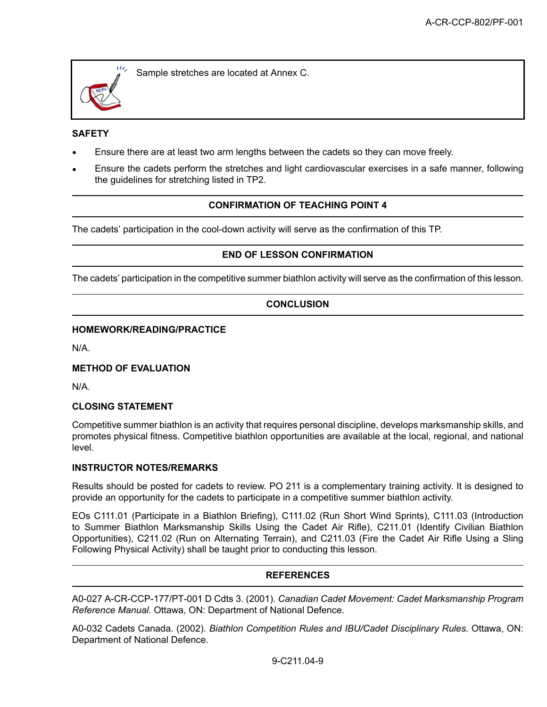![](_page_48_Picture_1.jpeg)

Sample stretches are located at Annex C.

# **SAFETY**

- Ensure there are at least two arm lengths between the cadets so they can move freely.
- Ensure the cadets perform the stretches and light cardiovascular exercises in a safe manner, following the guidelines for stretching listed in TP2.

# **CONFIRMATION OF TEACHING POINT 4**

The cadets' participation in the cool-down activity will serve as the confirmation of this TP.

#### **END OF LESSON CONFIRMATION**

The cadets' participation in the competitive summer biathlon activity will serve as the confirmation of this lesson.

# **CONCLUSION**

#### **HOMEWORK/READING/PRACTICE**

N/A.

# **METHOD OF EVALUATION**

N/A.

# **CLOSING STATEMENT**

Competitive summer biathlon is an activity that requires personal discipline, develops marksmanship skills, and promotes physical fitness. Competitive biathlon opportunities are available at the local, regional, and national level.

# **INSTRUCTOR NOTES/REMARKS**

Results should be posted for cadets to review. PO 211 is a complementary training activity. It is designed to provide an opportunity for the cadets to participate in a competitive summer biathlon activity.

EOs C111.01 (Participate in a Biathlon Briefing), C111.02 (Run Short Wind Sprints), C111.03 (Introduction to Summer Biathlon Marksmanship Skills Using the Cadet Air Rifle), C211.01 (Identify Civilian Biathlon Opportunities), C211.02 (Run on Alternating Terrain), and C211.03 (Fire the Cadet Air Rifle Using a Sling Following Physical Activity) shall be taught prior to conducting this lesson.

# **REFERENCES**

A0-027 A-CR-CCP-177/PT-001 D Cdts 3. (2001). *Canadian Cadet Movement: Cadet Marksmanship Program Reference Manual.* Ottawa, ON: Department of National Defence.

A0-032 Cadets Canada. (2002). *Biathlon Competition Rules and IBU/Cadet Disciplinary Rules.* Ottawa, ON: Department of National Defence.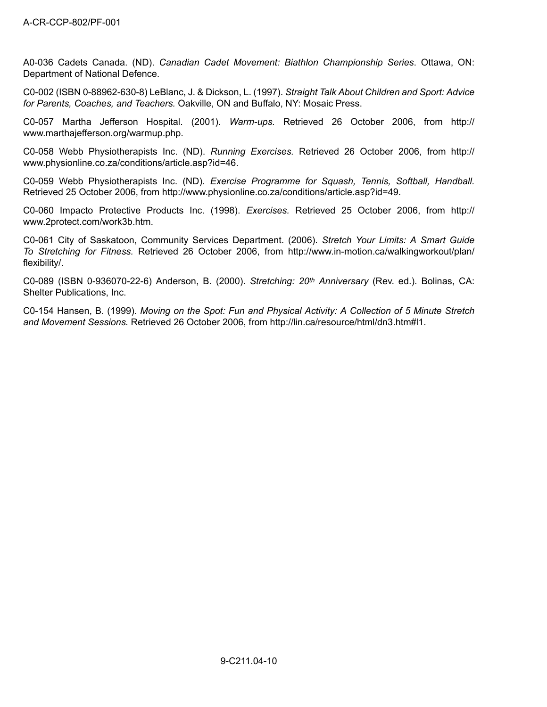A0-036 Cadets Canada. (ND). *Canadian Cadet Movement: Biathlon Championship Series*. Ottawa, ON: Department of National Defence.

C0-002 (ISBN 0-88962-630-8) LeBlanc, J. & Dickson, L. (1997). *Straight Talk About Children and Sport: Advice for Parents, Coaches, and Teachers.* Oakville, ON and Buffalo, NY: Mosaic Press.

C0-057 Martha Jefferson Hospital. (2001). *Warm-ups.* Retrieved 26 October 2006, from http:// www.marthajefferson.org/warmup.php.

C0-058 Webb Physiotherapists Inc. (ND). *Running Exercises.* Retrieved 26 October 2006, from http:// www.physionline.co.za/conditions/article.asp?id=46.

C0-059 Webb Physiotherapists Inc. (ND). *Exercise Programme for Squash, Tennis, Softball, Handball.* Retrieved 25 October 2006, from http://www.physionline.co.za/conditions/article.asp?id=49.

C0-060 Impacto Protective Products Inc. (1998). *Exercises.* Retrieved 25 October 2006, from http:// www.2protect.com/work3b.htm.

C0-061 City of Saskatoon, Community Services Department. (2006). *Stretch Your Limits: A Smart Guide To Stretching for Fitness.* Retrieved 26 October 2006, from http://www.in-motion.ca/walkingworkout/plan/ flexibility/.

C0-089 (ISBN 0-936070-22-6) Anderson, B. (2000). *Stretching: 20th Anniversary* (Rev. ed.). Bolinas, CA: Shelter Publications, Inc.

C0-154 Hansen, B. (1999). *Moving on the Spot: Fun and Physical Activity: A Collection of 5 Minute Stretch and Movement Sessions.* Retrieved 26 October 2006, from http://lin.ca/resource/html/dn3.htm#l1.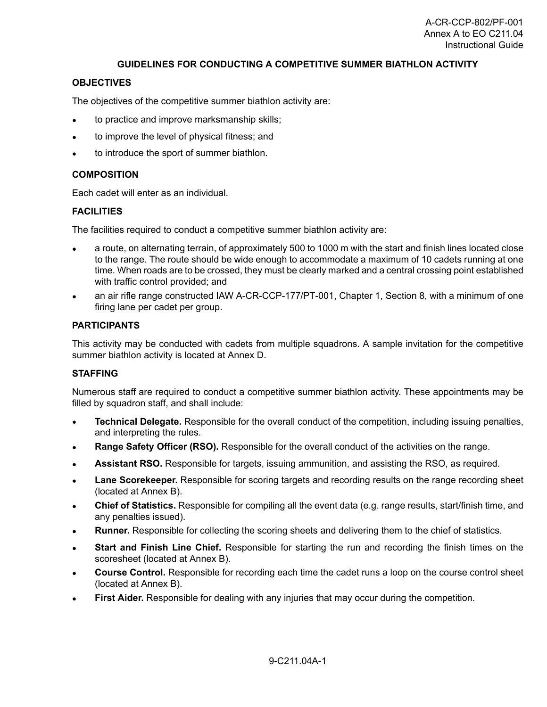# **GUIDELINES FOR CONDUCTING A COMPETITIVE SUMMER BIATHLON ACTIVITY**

#### **OBJECTIVES**

The objectives of the competitive summer biathlon activity are:

- to practice and improve marksmanship skills;
- to improve the level of physical fitness; and
- to introduce the sport of summer biathlon.

# **COMPOSITION**

Each cadet will enter as an individual.

# **FACILITIES**

The facilities required to conduct a competitive summer biathlon activity are:

- a route, on alternating terrain, of approximately 500 to 1000 m with the start and finish lines located close to the range. The route should be wide enough to accommodate a maximum of 10 cadets running at one time. When roads are to be crossed, they must be clearly marked and a central crossing point established with traffic control provided; and
- an air rifle range constructed IAW A-CR-CCP-177/PT-001, Chapter 1, Section 8, with a minimum of one firing lane per cadet per group.

#### **PARTICIPANTS**

This activity may be conducted with cadets from multiple squadrons. A sample invitation for the competitive summer biathlon activity is located at Annex D.

## **STAFFING**

Numerous staff are required to conduct a competitive summer biathlon activity. These appointments may be filled by squadron staff, and shall include:

- **Technical Delegate.** Responsible for the overall conduct of the competition, including issuing penalties, and interpreting the rules.
- **Range Safety Officer (RSO).** Responsible for the overall conduct of the activities on the range.
- **Assistant RSO.** Responsible for targets, issuing ammunition, and assisting the RSO, as required.
- **Lane Scorekeeper.** Responsible for scoring targets and recording results on the range recording sheet (located at Annex B).
- **Chief of Statistics.** Responsible for compiling all the event data (e.g. range results, start/finish time, and any penalties issued).
- **Runner.** Responsible for collecting the scoring sheets and delivering them to the chief of statistics.
- **Start and Finish Line Chief.** Responsible for starting the run and recording the finish times on the scoresheet (located at Annex B).
- **Course Control.** Responsible for recording each time the cadet runs a loop on the course control sheet (located at Annex B).
- **First Aider.** Responsible for dealing with any injuries that may occur during the competition.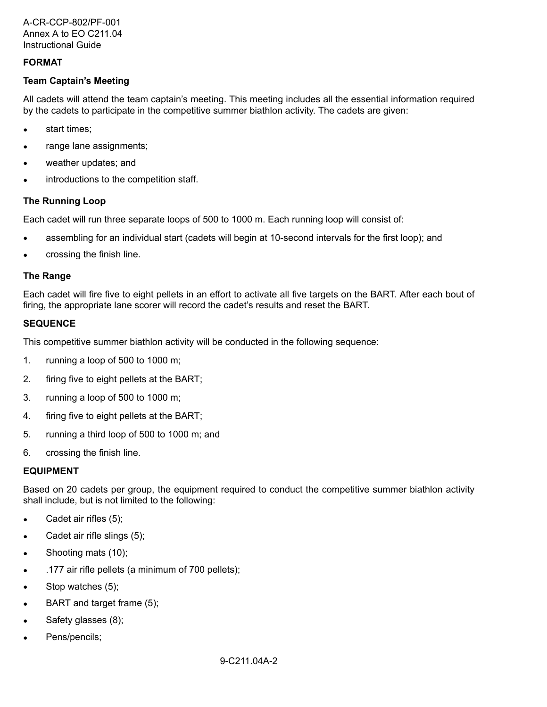# **FORMAT**

# **Team Captain's Meeting**

All cadets will attend the team captain's meeting. This meeting includes all the essential information required by the cadets to participate in the competitive summer biathlon activity. The cadets are given:

- start times;
- range lane assignments;
- weather updates; and
- introductions to the competition staff.

# **The Running Loop**

Each cadet will run three separate loops of 500 to 1000 m. Each running loop will consist of:

- assembling for an individual start (cadets will begin at 10-second intervals for the first loop); and
- crossing the finish line.

# **The Range**

Each cadet will fire five to eight pellets in an effort to activate all five targets on the BART. After each bout of firing, the appropriate lane scorer will record the cadet's results and reset the BART.

# **SEQUENCE**

This competitive summer biathlon activity will be conducted in the following sequence:

- 1. running a loop of 500 to 1000 m;
- 2. firing five to eight pellets at the BART;
- 3. running a loop of 500 to 1000 m;
- 4. firing five to eight pellets at the BART;
- 5. running a third loop of 500 to 1000 m; and
- 6. crossing the finish line.

# **EQUIPMENT**

Based on 20 cadets per group, the equipment required to conduct the competitive summer biathlon activity shall include, but is not limited to the following:

- Cadet air rifles (5);
- Cadet air rifle slings (5);
- Shooting mats (10);
- .177 air rifle pellets (a minimum of 700 pellets);
- Stop watches (5);
- BART and target frame (5);
- Safety glasses (8);
- Pens/pencils;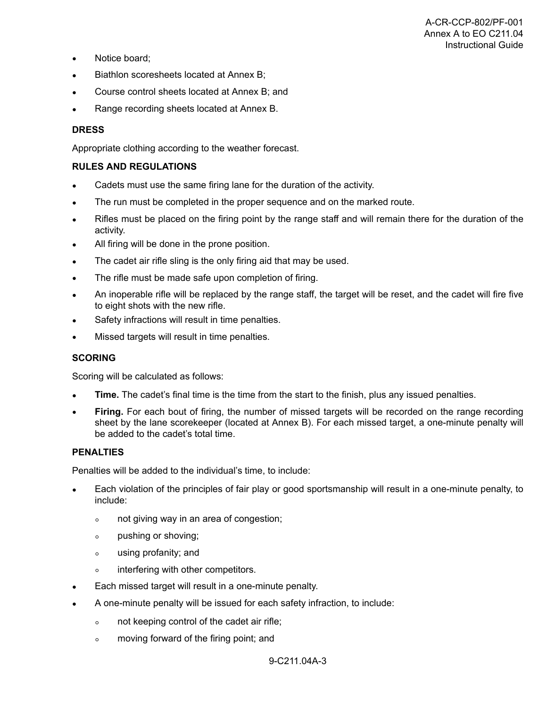- Notice board;
- Biathlon scoresheets located at Annex B;
- Course control sheets located at Annex B; and
- Range recording sheets located at Annex B.

# **DRESS**

Appropriate clothing according to the weather forecast.

# **RULES AND REGULATIONS**

- Cadets must use the same firing lane for the duration of the activity.
- The run must be completed in the proper sequence and on the marked route.
- Rifles must be placed on the firing point by the range staff and will remain there for the duration of the activity.
- All firing will be done in the prone position.
- The cadet air rifle sling is the only firing aid that may be used.
- The rifle must be made safe upon completion of firing.
- An inoperable rifle will be replaced by the range staff, the target will be reset, and the cadet will fire five to eight shots with the new rifle.
- Safety infractions will result in time penalties.
- Missed targets will result in time penalties.

# **SCORING**

Scoring will be calculated as follows:

- **Time.** The cadet's final time is the time from the start to the finish, plus any issued penalties.
- **Firing.** For each bout of firing, the number of missed targets will be recorded on the range recording sheet by the lane scorekeeper (located at Annex B). For each missed target, a one-minute penalty will be added to the cadet's total time.

# **PENALTIES**

Penalties will be added to the individual's time, to include:

- Each violation of the principles of fair play or good sportsmanship will result in a one-minute penalty, to include:
	- not giving way in an area of congestion;
	- pushing or shoving;
	- using profanity; and
	- $\circ$ interfering with other competitors.
- Each missed target will result in a one-minute penalty.
- A one-minute penalty will be issued for each safety infraction, to include:
	- not keeping control of the cadet air rifle;
	- moving forward of the firing point; and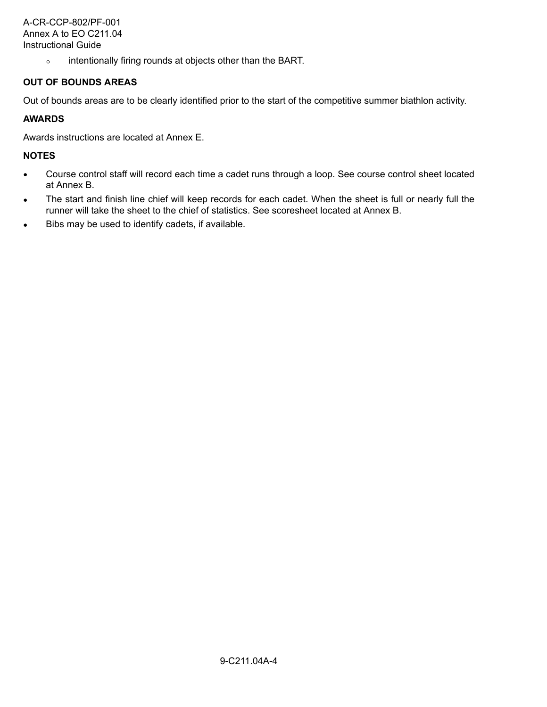A-CR-CCP-802/PF-001 Annex A to EO C211.04 Instructional Guide

> ◦ intentionally firing rounds at objects other than the BART.

# **OUT OF BOUNDS AREAS**

Out of bounds areas are to be clearly identified prior to the start of the competitive summer biathlon activity.

# **AWARDS**

Awards instructions are located at Annex E.

# **NOTES**

- Course control staff will record each time a cadet runs through a loop. See course control sheet located at Annex B.
- The start and finish line chief will keep records for each cadet. When the sheet is full or nearly full the runner will take the sheet to the chief of statistics. See scoresheet located at Annex B.
- Bibs may be used to identify cadets, if available.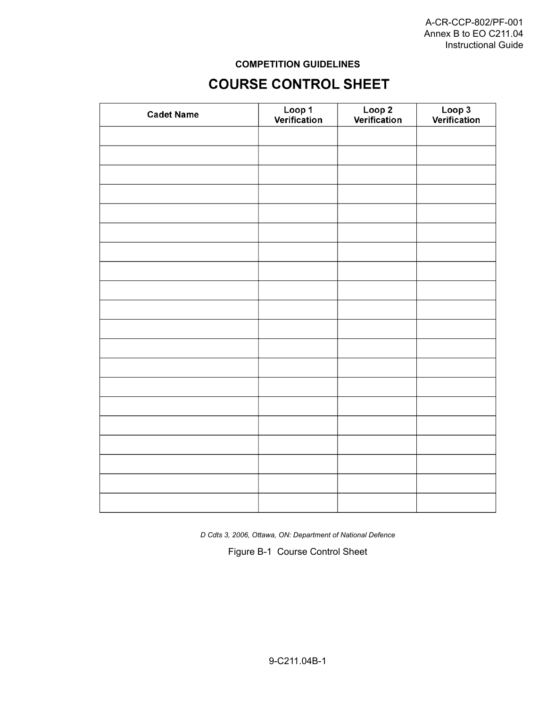#### **COMPETITION GUIDELINES**

# **COURSE CONTROL SHEET**

| <b>Cadet Name</b> | Loop 1<br>Verification | Loop 2<br>Verification | Loop 3<br>Verification |
|-------------------|------------------------|------------------------|------------------------|
|                   |                        |                        |                        |
|                   |                        |                        |                        |
|                   |                        |                        |                        |
|                   |                        |                        |                        |
|                   |                        |                        |                        |
|                   |                        |                        |                        |
|                   |                        |                        |                        |
|                   |                        |                        |                        |
|                   |                        |                        |                        |
|                   |                        |                        |                        |
|                   |                        |                        |                        |
|                   |                        |                        |                        |
|                   |                        |                        |                        |
|                   |                        |                        |                        |
|                   |                        |                        |                        |
|                   |                        |                        |                        |
|                   |                        |                        |                        |
|                   |                        |                        |                        |
|                   |                        |                        |                        |
|                   |                        |                        |                        |

*D Cdts 3, 2006, Ottawa, ON: Department of National Defence*

Figure B-1 Course Control Sheet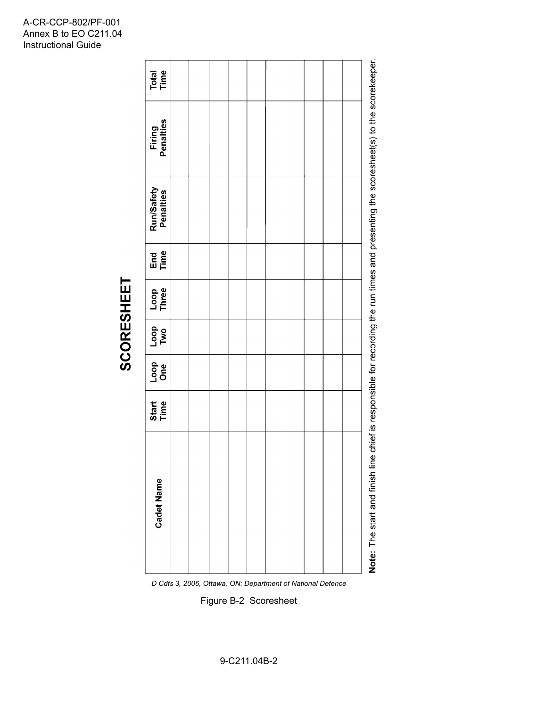# A-CR-CCP-802/PF-001 Annex B to EO C211.04 Instructional Guide

# Figure B-2 Scoresheet

# **SCORESHEET**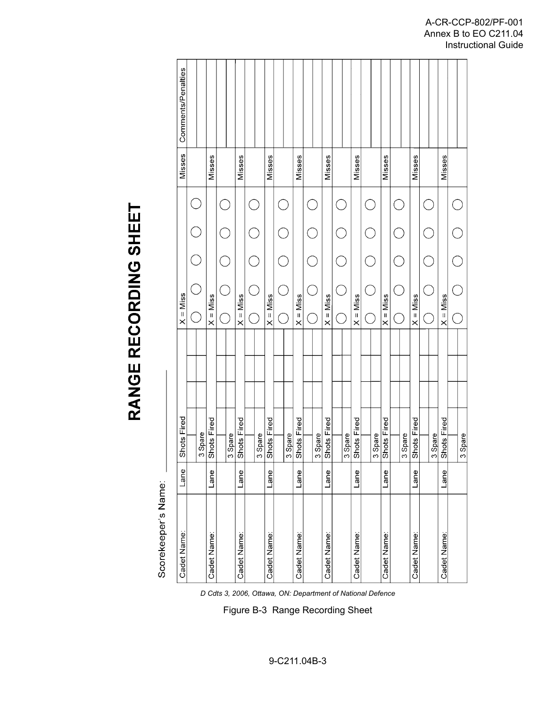RANGE RECORDING SHEET

Scorekeeper's Name:

| Cadet Name:                                                | Lane | Shots Fired | $X =$ Miss  | Misses | Comments/Penalties |
|------------------------------------------------------------|------|-------------|-------------|--------|--------------------|
|                                                            |      |             | $\tilde{a}$ |        |                    |
|                                                            |      | 3 Spare     |             |        |                    |
| Cadet Name:                                                | Lane | Shots Fired | $X =$ Miss  | Misses |                    |
|                                                            |      |             |             |        |                    |
|                                                            |      | 3 Spare     |             |        |                    |
| Cadet Name:                                                | Lane | Shots Fired | $X =$ Miss  | Misses |                    |
| D Cdts 3, 2006, Ottawa, ON: Department of National Defence |      |             |             |        |                    |
|                                                            |      | 3 Spare     |             |        |                    |
| Cadet Name:                                                | Lane | Shots Fired | $X =$ Miss  | Misses |                    |
|                                                            |      |             |             |        |                    |
|                                                            |      | 3 Spare     |             |        |                    |
| Cadet Name:                                                | Lane | Shots Fired | $X = W$ iss | Misses |                    |
|                                                            |      |             |             |        |                    |
|                                                            |      | 3 Spare     |             |        |                    |
| Cadet Name:                                                | Lane | Shots Fired | $X =$ Miss  | Misses |                    |
|                                                            |      |             |             |        |                    |
|                                                            |      | 3 Spare     |             |        |                    |
| Cadet Name                                                 | Lane | Shots Fired | $X =$ Miss  | Misses |                    |
|                                                            |      |             |             |        |                    |
|                                                            |      | 3 Spare     |             |        |                    |
| Cadet Name                                                 | Lane | Shots Fired | $X =$ Miss  | Misses |                    |
|                                                            |      |             | $\tilde{a}$ |        |                    |
|                                                            |      | 3 Spare     |             |        |                    |
| Cadet Name:                                                | Lane | Shots Fired | $X =$ Miss  | Misses |                    |
|                                                            |      |             |             |        |                    |
|                                                            |      | 3 Spare     |             |        |                    |
| Cadet Name:                                                | Lane | Shots Fired | $X = Miss$  | Misses |                    |
|                                                            |      |             |             |        |                    |
|                                                            |      | 3 Spare     |             |        |                    |

#### A-CR-CCP-802/PF-001 Annex B to EO C211.04 Instructional Guide

9-C211.04B-3

Figure B-3 Range Recording Sheet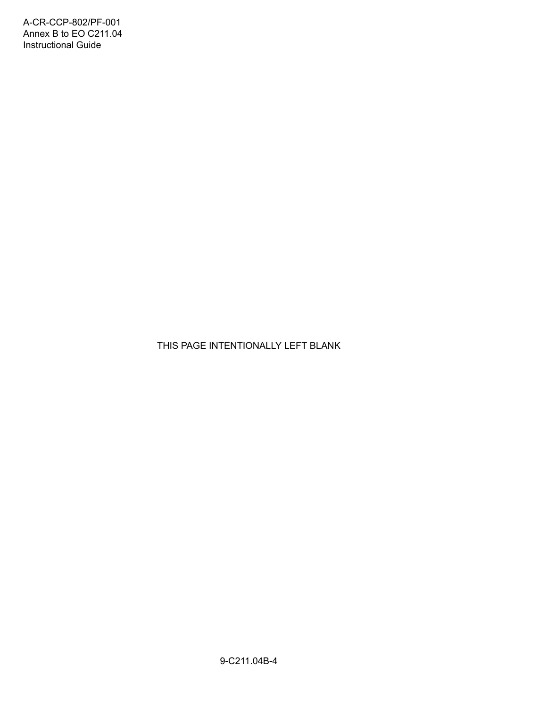THIS PAGE INTENTIONALLY LEFT BLANK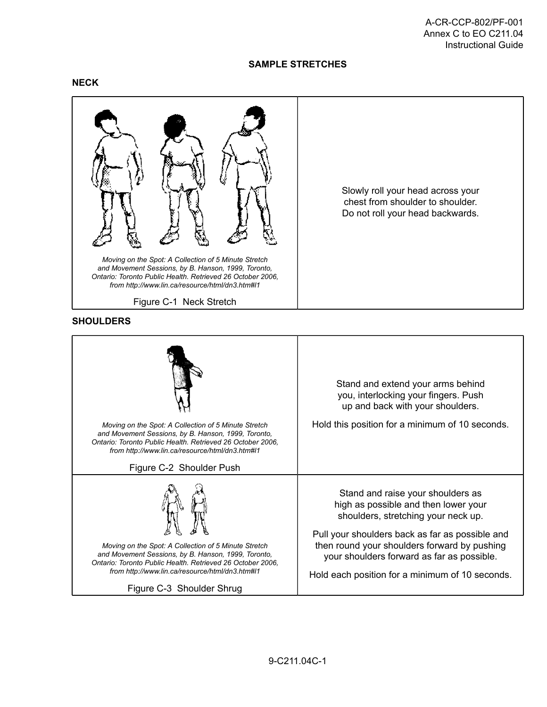#### **SAMPLE STRETCHES**

![](_page_58_Figure_2.jpeg)

![](_page_58_Figure_3.jpeg)

![](_page_58_Picture_4.jpeg)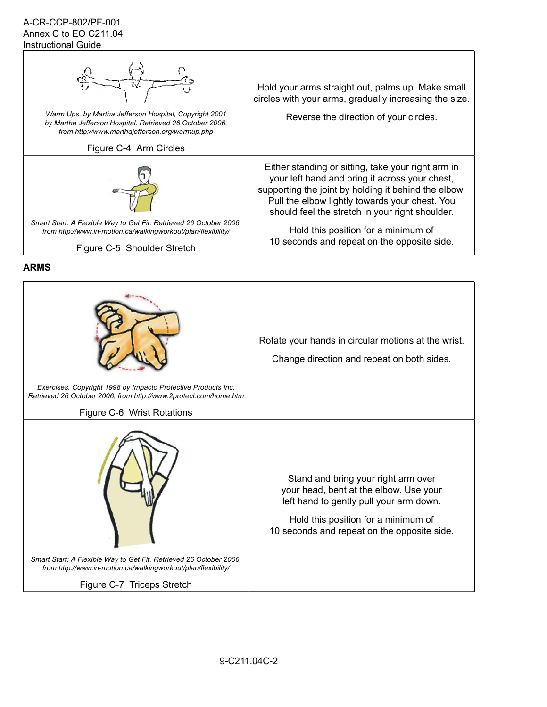| Warm Ups, by Martha Jefferson Hospital, Copyright 2001<br>by Martha Jefferson Hospital. Retrieved 26 October 2006.<br>from http://www.marthajefferson.org/warmup.php | Hold your arms straight out, palms up. Make small<br>circles with your arms, gradually increasing the size.<br>Reverse the direction of your circles.                                                                                                             |
|----------------------------------------------------------------------------------------------------------------------------------------------------------------------|-------------------------------------------------------------------------------------------------------------------------------------------------------------------------------------------------------------------------------------------------------------------|
| Figure C-4 Arm Circles                                                                                                                                               |                                                                                                                                                                                                                                                                   |
|                                                                                                                                                                      | Either standing or sitting, take your right arm in<br>your left hand and bring it across your chest,<br>supporting the joint by holding it behind the elbow.<br>Pull the elbow lightly towards your chest. You<br>should feel the stretch in your right shoulder. |
| Smart Start: A Flexible Way to Get Fit. Retrieved 26 October 2006,<br>from http://www.in-motion.ca/walkingworkout/plan/flexibility/<br>Figure C-5 Shoulder Stretch   | Hold this position for a minimum of<br>10 seconds and repeat on the opposite side.                                                                                                                                                                                |

# **ARMS**

| Exercises. Copyright 1998 by Impacto Protective Products Inc.<br>Retrieved 26 October 2006, from http://www.2protect.com/home.htm<br>Figure C-6 Wrist Rotations | Rotate your hands in circular motions at the wrist.<br>Change direction and repeat on both sides.                                                                       |
|-----------------------------------------------------------------------------------------------------------------------------------------------------------------|-------------------------------------------------------------------------------------------------------------------------------------------------------------------------|
|                                                                                                                                                                 | Stand and bring your right arm over                                                                                                                                     |
|                                                                                                                                                                 | your head, bent at the elbow. Use your<br>left hand to gently pull your arm down.<br>Hold this position for a minimum of<br>10 seconds and repeat on the opposite side. |
| Smart Start: A Flexible Way to Get Fit. Retrieved 26 October 2006,<br>from http://www.in-motion.ca/walkingworkout/plan/flexibility/                             |                                                                                                                                                                         |
| Figure C-7 Triceps Stretch                                                                                                                                      |                                                                                                                                                                         |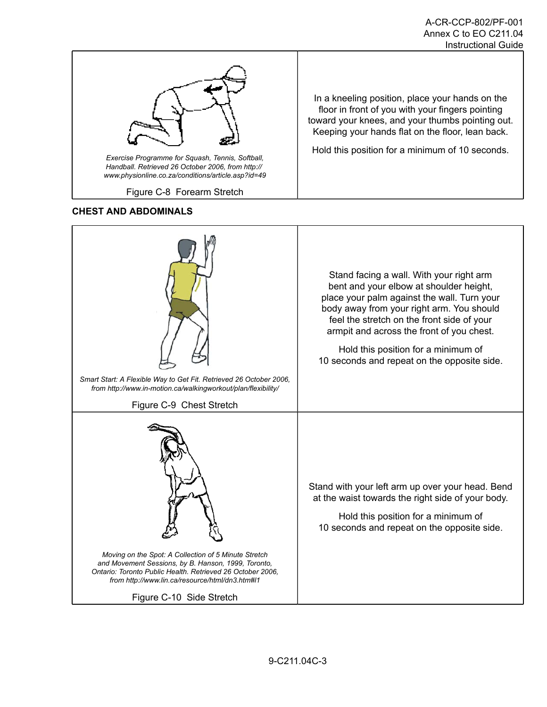![](_page_60_Picture_1.jpeg)

# **CHEST AND ABDOMINALS**

In a kneeling position, place your hands on the floor in front of you with your fingers pointing toward your knees, and your thumbs pointing out. Keeping your hands flat on the floor, lean back.

Hold this position for a minimum of 10 seconds.

![](_page_60_Figure_5.jpeg)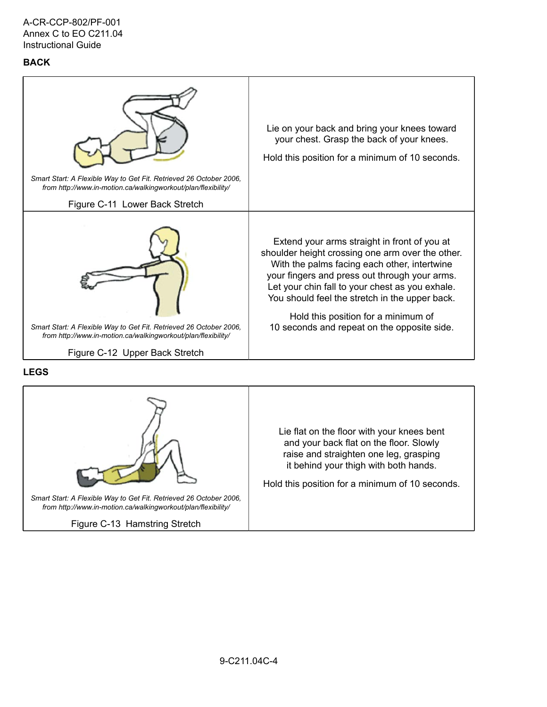# **BACK**

![](_page_61_Picture_2.jpeg)

# **LEGS**

![](_page_61_Picture_4.jpeg)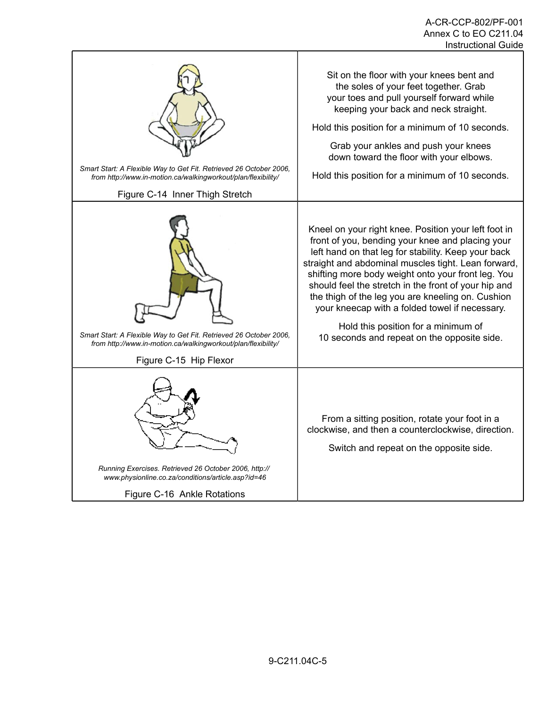![](_page_62_Figure_1.jpeg)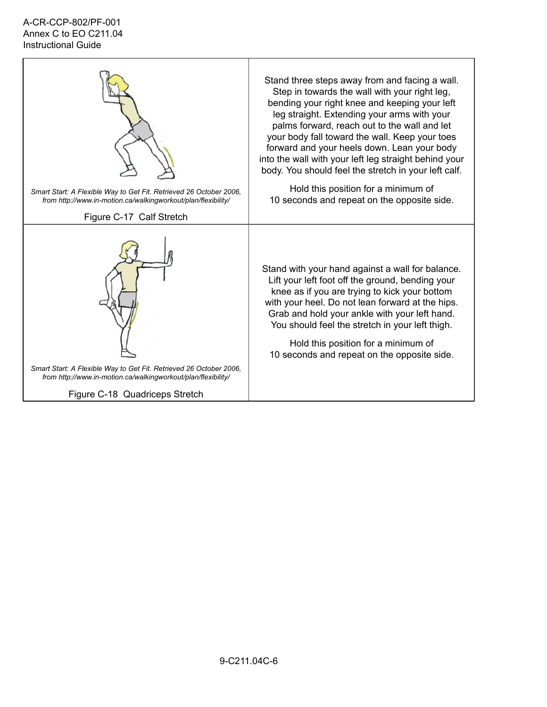![](_page_63_Figure_1.jpeg)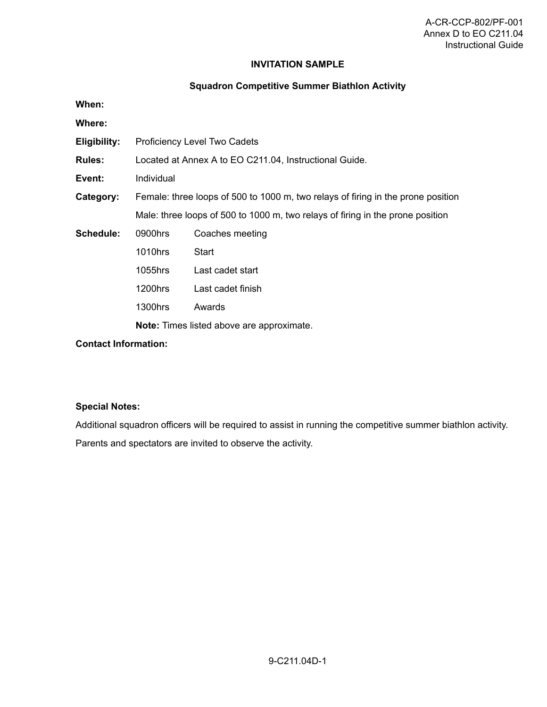# **INVITATION SAMPLE**

# **Squadron Competitive Summer Biathlon Activity**

**When:**

**Where:**

**Eligibility:** Proficiency Level Two Cadets

**Rules:** Located at Annex A to EO C211.04, Instructional Guide.

**Event:** Individual

**Category:** Female: three loops of 500 to 1000 m, two relays of firing in the prone position

Male: three loops of 500 to 1000 m, two relays of firing in the prone position

**Schedule:** 0900hrs Coaches meeting

- 1010hrs **Start**
- 1055hrs Last cadet start
- 1200hrs Last cadet finish
- 1300hrs Awards

**Note:** Times listed above are approximate.

# **Contact Information:**

# **Special Notes:**

Additional squadron officers will be required to assist in running the competitive summer biathlon activity. Parents and spectators are invited to observe the activity.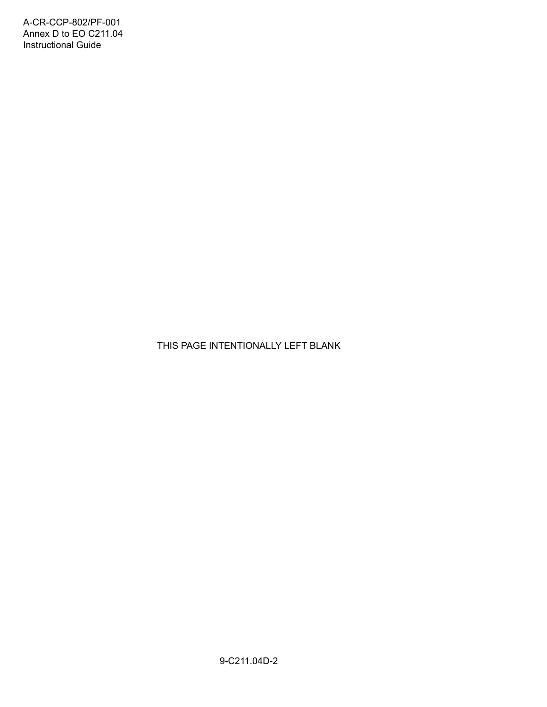THIS PAGE INTENTIONALLY LEFT BLANK